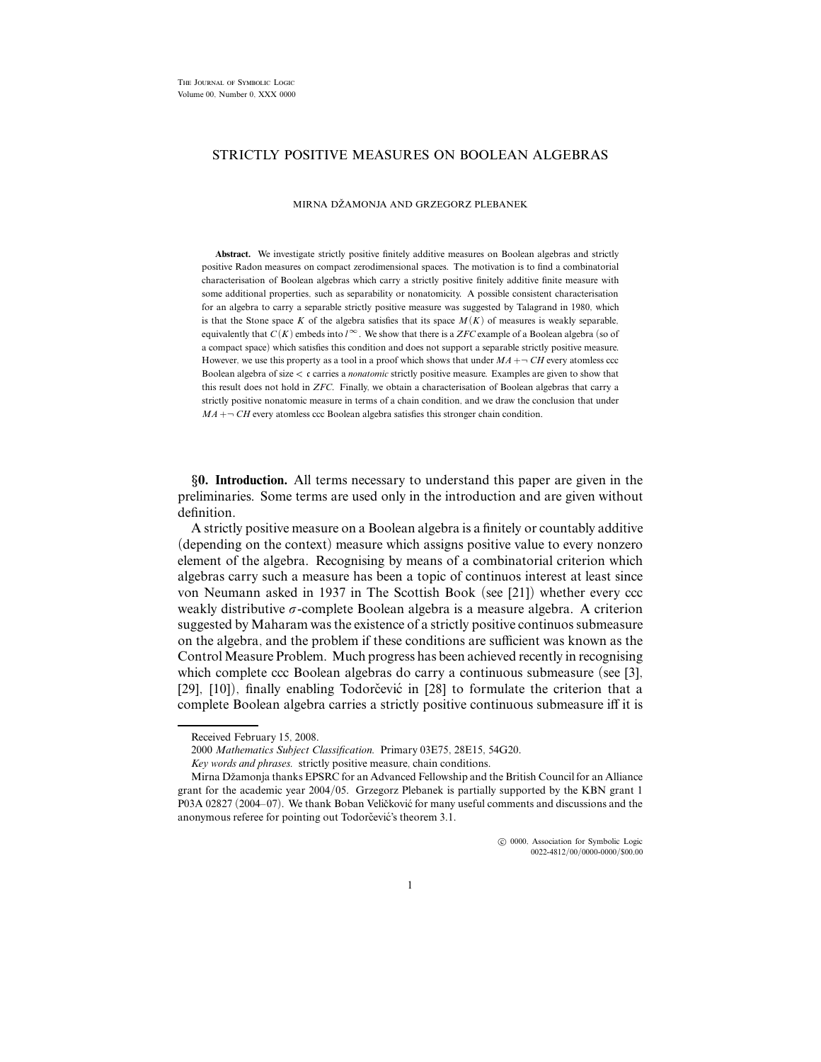## STRICTLY POSITIVE MEASURES ON BOOLEAN ALGEBRAS

MIRNA DŽAMONJA AND GRZEGORZ PLEBANEK

**Abstract.** We investigate strictly positive finitely additive measures on Boolean algebras and strictly positive Radon measures on compact zerodimensional spaces. The motivation is to find a combinatorial characterisation of Boolean algebras which carry a strictly positive finitely additive finite measure with some additional properties, such as separability or nonatomicity. A possible consistent characterisation for an algebra to carry a separable strictly positive measure was suggested by Talagrand in 1980, which is that the Stone space *K* of the algebra satisfies that its space  $M(K)$  of measures is weakly separable, equivalently that  $C(K)$  embeds into  $l^{\infty}$ . We show that there is a *ZFC* example of a Boolean algebra (so of a compact space) which satisfies this condition and does not support a separable strictly positive measure. However, we use this property as a tool in a proof which shows that under  $MA + \neg CH$  every atomless ccc Boolean algebra of size *<* c carries a *nonatomic* strictly positive measure. Examples are given to show that this result does not hold in *ZFC*. Finally, we obtain a characterisation of Boolean algebras that carry a strictly positive nonatomic measure in terms of a chain condition, and we draw the conclusion that under  $MA + \neg CH$  every atomless ccc Boolean algebra satisfies this stronger chain condition.

§**0. Introduction.** All terms necessary to understand this paper are given in the preliminaries. Some terms are used only in the introduction and are given without definition.

A strictly positive measure on a Boolean algebra is a finitely or countably additive (depending on the context) measure which assigns positive value to every nonzero element of the algebra. Recognising by means of a combinatorial criterion which algebras carry such a measure has been a topic of continuos interest at least since von Neumann asked in 1937 in The Scottish Book (see [21]) whether every ccc weakly distributive  $\sigma$ -complete Boolean algebra is a measure algebra. A criterion suggested by Maharam was the existence of a strictly positive continuos submeasure on the algebra, and the problem if these conditions are sufficient was known as the Control Measure Problem. Much progress has been achieved recently in recognising which complete ccc Boolean algebras do carry a continuous submeasure (see [3],  $[29]$ ,  $[10]$ ), finally enabling Todorčević in  $[28]$  to formulate the criterion that a complete Boolean algebra carries a strictly positive continuous submeasure iff it is

 $\odot$  0000, Association for Symbolic Logic 0022-4812/00/0000-0000/\$00.00

Received February 15, 2008.

<sup>2000</sup> *Mathematics Subject Classification.* Primary 03E75, 28E15, 54G20.

*Key words and phrases.* strictly positive measure, chain conditions.

Mirna Džamonja thanks EPSRC for an Advanced Fellowship and the British Council for an Alliance grant for the academic year 2004/05. Grzegorz Plebanek is partially supported by the KBN grant 1 P03A 02827 (2004–07). We thank Boban Veličković for many useful comments and discussions and the anonymous referee for pointing out Todorčević's theorem 3.1.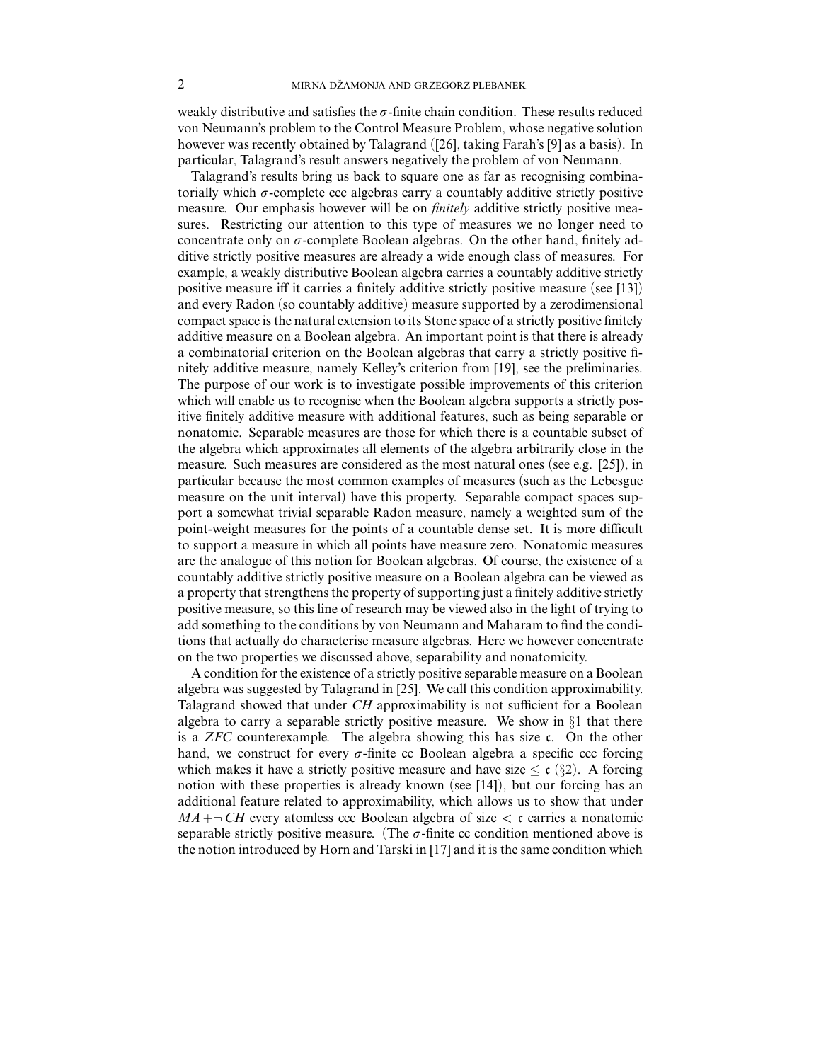weakly distributive and satisfies the  $\sigma$ -finite chain condition. These results reduced von Neumann's problem to the Control Measure Problem, whose negative solution however was recently obtained by Talagrand ([26], taking Farah's [9] as a basis). In particular, Talagrand's result answers negatively the problem of von Neumann.

Talagrand's results bring us back to square one as far as recognising combinatorially which  $\sigma$ -complete ccc algebras carry a countably additive strictly positive measure. Our emphasis however will be on *finitely* additive strictly positive measures. Restricting our attention to this type of measures we no longer need to concentrate only on  $\sigma$ -complete Boolean algebras. On the other hand, finitely additive strictly positive measures are already a wide enough class of measures. For example, a weakly distributive Boolean algebra carries a countably additive strictly positive measure iff it carries a finitely additive strictly positive measure (see [13]) and every Radon (so countably additive) measure supported by a zerodimensional compact space is the natural extension to its Stone space of a strictly positive finitely additive measure on a Boolean algebra. An important point is that there is already a combinatorial criterion on the Boolean algebras that carry a strictly positive finitely additive measure, namely Kelley's criterion from [19], see the preliminaries. The purpose of our work is to investigate possible improvements of this criterion which will enable us to recognise when the Boolean algebra supports a strictly positive finitely additive measure with additional features, such as being separable or nonatomic. Separable measures are those for which there is a countable subset of the algebra which approximates all elements of the algebra arbitrarily close in the measure. Such measures are considered as the most natural ones (see e.g. [25]), in particular because the most common examples of measures (such as the Lebesgue measure on the unit interval) have this property. Separable compact spaces support a somewhat trivial separable Radon measure, namely a weighted sum of the point-weight measures for the points of a countable dense set. It is more difficult to support a measure in which all points have measure zero. Nonatomic measures are the analogue of this notion for Boolean algebras. Of course, the existence of a countably additive strictly positive measure on a Boolean algebra can be viewed as a property that strengthens the property of supporting just a finitely additive strictly positive measure, so this line of research may be viewed also in the light of trying to add something to the conditions by von Neumann and Maharam to find the conditions that actually do characterise measure algebras. Here we however concentrate on the two properties we discussed above, separability and nonatomicity.

A condition for the existence of a strictly positive separable measure on a Boolean algebra was suggested by Talagrand in [25]. We call this condition approximability. Talagrand showed that under *CH* approximability is not sufficient for a Boolean algebra to carry a separable strictly positive measure. We show in §1 that there is a *ZFC* counterexample. The algebra showing this has size c. On the other hand, we construct for every  $\sigma$ -finite cc Boolean algebra a specific ccc forcing which makes it have a strictly positive measure and have size  $\leq c$  (§2). A forcing notion with these properties is already known (see [14]), but our forcing has an additional feature related to approximability, which allows us to show that under  $MA + \neg CH$  every atomless ccc Boolean algebra of size  $\lt c$  carries a nonatomic separable strictly positive measure. (The  $\sigma$ -finite cc condition mentioned above is the notion introduced by Horn and Tarski in [17] and it is the same condition which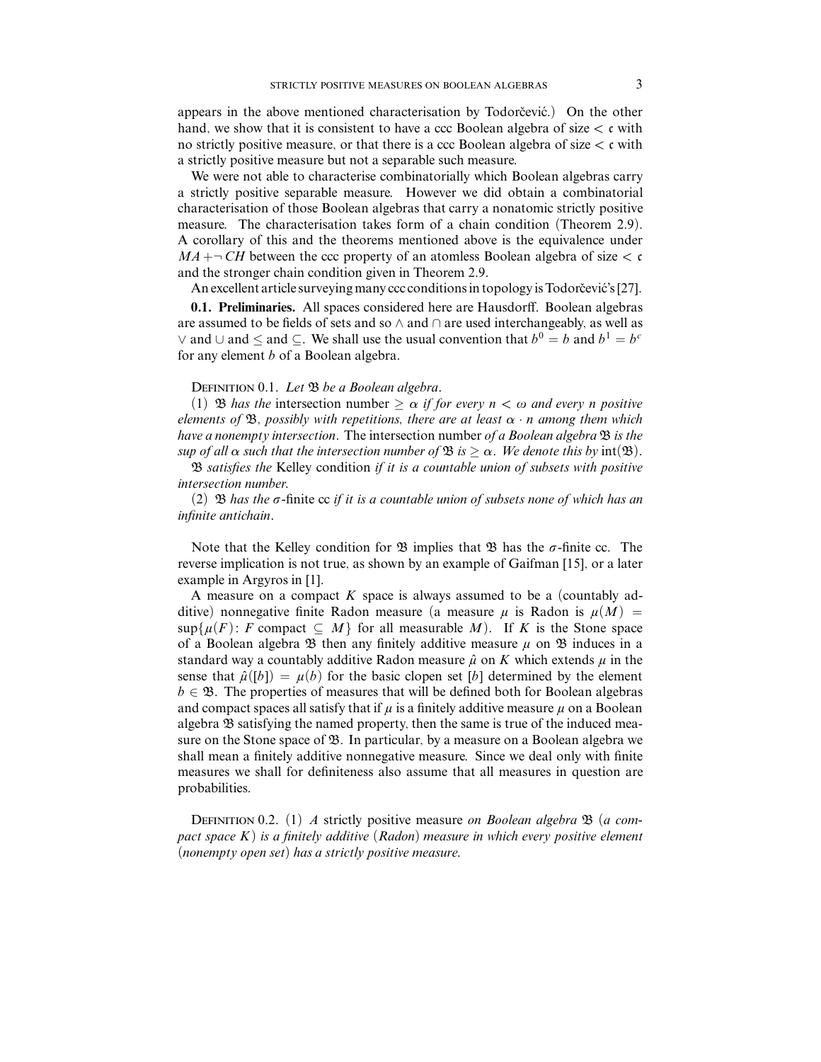appears in the above mentioned characterisation by Todorcevic.) On the other hand, we show that it is consistent to have a ccc Boolean algebra of size *<* c with no strictly positive measure, or that there is a ccc Boolean algebra of size *<* c with a strictly positive measure but not a separable such measure.

We were not able to characterise combinatorially which Boolean algebras carry a strictly positive separable measure. However we did obtain a combinatorial characterisation of those Boolean algebras that carry a nonatomic strictly positive measure. The characterisation takes form of a chain condition (Theorem 2.9). A corollary of this and the theorems mentioned above is the equivalence under  $MA + \neg CH$  between the ccc property of an atomless Boolean algebra of size  $\lt c$ and the stronger chain condition given in Theorem 2.9.

An excellent article surveying many ccc conditions in topology is Todorcevic's [27].

**0.1. Preliminaries.** All spaces considered here are Hausdorff. Boolean algebras are assumed to be fields of sets and so ∧ and ∩ are used interchangeably, as well as ∨ and ∪ and < and ⊂. We shall use the usual convention that  $b^0 = b$  and  $b^1 = b^c$ for any element *b* of a Boolean algebra.

## DEFINITION 0.1. Let  $\mathfrak B$  be a Boolean algebra.

(1) **B** has the intersection number  $\geq \alpha$  if for every  $n < \omega$  and every *n* positive elements of B, possibly with repetitions, there are at least *α* · *n* among them which have a nonempty intersection. The intersection number of a Boolean algebra  $\mathfrak B$  is the sup of all  $\alpha$  such that the intersection number of  $\mathfrak{B}$  is  $\geq \alpha$ . We denote this by int( $\mathfrak{B}$ ).

 $\mathfrak B$  satisfies the Kelley condition if it is a countable union of subsets with positive intersection number.

(2)  $\mathfrak B$  has the  $\sigma$ -finite cc if it is a countable union of subsets none of which has an infinite antichain.

Note that the Kelley condition for  $\mathfrak{B}$  implies that  $\mathfrak{B}$  has the  $\sigma$ -finite cc. The reverse implication is not true, as shown by an example of Gaifman [15], or a later example in Argyros in [1].

A measure on a compact *K* space is always assumed to be a (countably additive) nonnegative finite Radon measure (a measure  $\mu$  is Radon is  $\mu(M)$  =  $\sup\{\mu(F): F$  compact  $\subseteq M\}$  for all measurable M). If K is the Stone space of a Boolean algebra  $\mathfrak B$  then any finitely additive measure  $\mu$  on  $\mathfrak B$  induces in a standard way a countably additive Radon measure  $\hat{\mu}$  on K which extends  $\mu$  in the sense that  $\hat{\mu}([b]) = \mu(b)$  for the basic clopen set [*b*] determined by the element  $b \in \mathfrak{B}$ . The properties of measures that will be defined both for Boolean algebras and compact spaces all satisfy that if  $\mu$  is a finitely additive measure  $\mu$  on a Boolean algebra B satisfying the named property, then the same is true of the induced measure on the Stone space of  $\mathfrak{B}$ . In particular, by a measure on a Boolean algebra we shall mean a finitely additive nonnegative measure. Since we deal only with finite measures we shall for definiteness also assume that all measures in question are probabilities.

DEFINITION 0.2. (1) A strictly positive measure on Boolean algebra  $\mathfrak{B}$  (a compact space  $K$ ) is a finitely additive (Radon) measure in which every positive element (nonempty open set) has a strictly positive measure.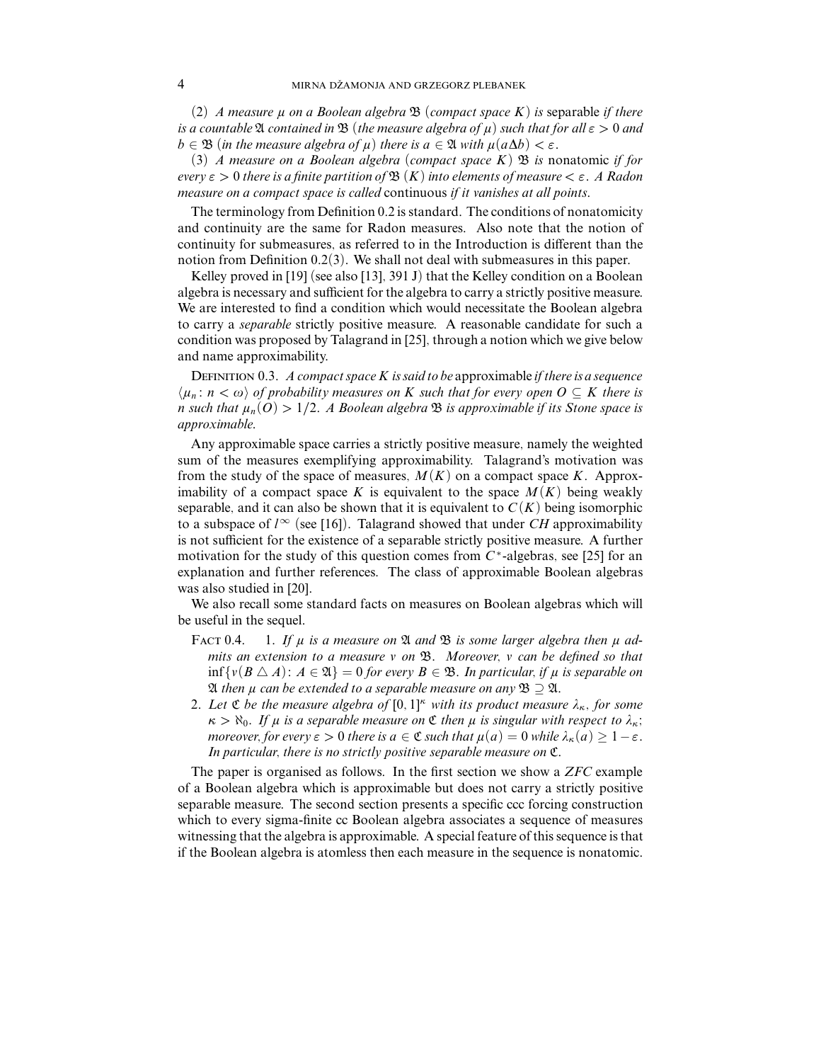(2) A measure  $\mu$  on a Boolean algebra  $\mathfrak{B}$  (compact space K) is separable if there is a countable  $\mathfrak A$  contained in  $\mathfrak B$  (the measure algebra of  $\mu$ ) such that for all  $\varepsilon > 0$  and  $b \in \mathfrak{B}$  (in the measure algebra of  $\mu$ ) there is  $a \in \mathfrak{A}$  with  $\mu(a\Delta b) < \varepsilon$ .

(3) A measure on a Boolean algebra (compact space  $K$ )  $\mathfrak B$  is nonatomic if for every *ε >* 0 there is a finite partition of B (*K*) into elements of measure *< ε*. A Radon measure on a compact space is called continuous if it vanishes at all points.

The terminology from Definition 0.2 is standard. The conditions of nonatomicity and continuity are the same for Radon measures. Also note that the notion of continuity for submeasures, as referred to in the Introduction is different than the notion from Definition 0.2(3). We shall not deal with submeasures in this paper.

Kelley proved in [19] (see also [13], 391 J) that the Kelley condition on a Boolean algebra is necessary and sufficient for the algebra to carry a strictly positive measure. We are interested to find a condition which would necessitate the Boolean algebra to carry a *separable* strictly positive measure. A reasonable candidate for such a condition was proposed by Talagrand in [25], through a notion which we give below and name approximability.

DEFINITION 0.3. A compact space  $K$  is said to be approximable if there is a sequence  $\langle \mu_n : n < \omega \rangle$  of probability measures on *K* such that for every open  $O \subseteq K$  there is *n* such that  $\mu_n(O) > 1/2$ . A Boolean algebra  $\mathfrak B$  is approximable if its Stone space is approximable.

Any approximable space carries a strictly positive measure, namely the weighted sum of the measures exemplifying approximability. Talagrand's motivation was from the study of the space of measures,  $M(K)$  on a compact space K. Approximability of a compact space K is equivalent to the space  $M(K)$  being weakly separable, and it can also be shown that it is equivalent to  $C(K)$  being isomorphic to a subspace of  $l^{\infty}$  (see [16]). Talagrand showed that under *CH* approximability is not sufficient for the existence of a separable strictly positive measure. A further motivation for the study of this question comes from *C* <sup>∗</sup>-algebras, see [25] for an explanation and further references. The class of approximable Boolean algebras was also studied in [20].

We also recall some standard facts on measures on Boolean algebras which will be useful in the sequel.

- FACT 0.4. 1. If  $\mu$  is a measure on  $\mathfrak A$  and  $\mathfrak B$  is some larger algebra then  $\mu$  admits an extension to a measure *v* on  $\mathfrak{B}$ . Moreover, *v* can be defined so that inf {*v*(*B* ∆ *A*): *A* ∈  $\mathfrak{A}$ } = 0 for every *B* ∈  $\mathfrak{B}$ . In particular, if  $\mu$  is separable on  ${\mathfrak A}$  then  $\mu$  can be extended to a separable measure on any  ${\mathfrak B}\supseteq {\mathfrak A}.$
- 2. Let  $\mathfrak C$  be the measure algebra of  $[0,1]^{\kappa}$  with its product measure  $\lambda_{\kappa}$ , for some  $\kappa > \aleph_0$ . If  $\mu$  is a separable measure on  $\mathfrak C$  then  $\mu$  is singular with respect to  $\lambda_{\kappa}$ ; *moreover, for every*  $\varepsilon > 0$  there is  $a \in \mathfrak{C}$  such that  $\mu(a) = 0$  while  $\lambda_{\kappa}(a) \geq 1 - \varepsilon$ . In particular, there is no strictly positive separable measure on C.

The paper is organised as follows. In the first section we show a *ZFC* example of a Boolean algebra which is approximable but does not carry a strictly positive separable measure. The second section presents a specific ccc forcing construction which to every sigma-finite cc Boolean algebra associates a sequence of measures witnessing that the algebra is approximable. A special feature of this sequence is that if the Boolean algebra is atomless then each measure in the sequence is nonatomic.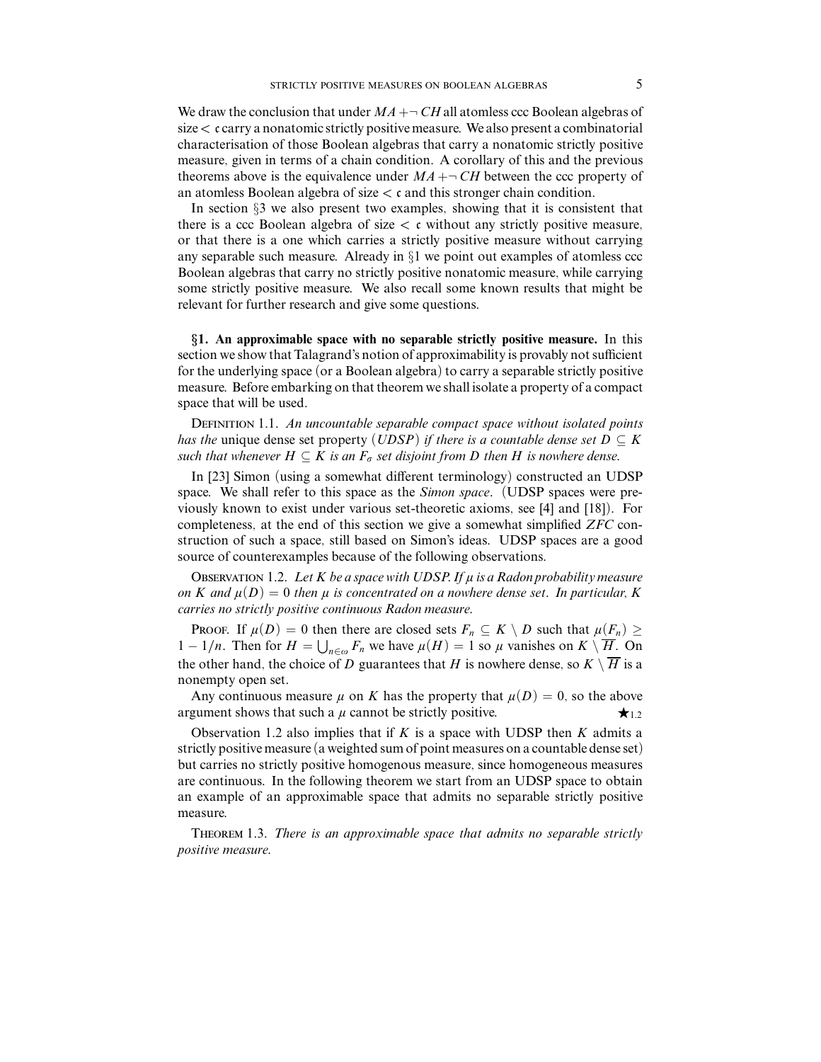We draw the conclusion that under  $MA + \neg CH$  all atomless ccc Boolean algebras of size*<* c carry a nonatomic strictly positive measure. We also present a combinatorial characterisation of those Boolean algebras that carry a nonatomic strictly positive measure, given in terms of a chain condition. A corollary of this and the previous theorems above is the equivalence under  $MA + \neg CH$  between the ccc property of an atomless Boolean algebra of size *<* c and this stronger chain condition.

In section §3 we also present two examples, showing that it is consistent that there is a ccc Boolean algebra of size  $\lt c$  without any strictly positive measure, or that there is a one which carries a strictly positive measure without carrying any separable such measure. Already in  $\S1$  we point out examples of atomless ccc Boolean algebras that carry no strictly positive nonatomic measure, while carrying some strictly positive measure. We also recall some known results that might be relevant for further research and give some questions.

§**1. An approximable space with no separable strictly positive measure.** In this section we show that Talagrand's notion of approximability is provably not sufficient for the underlying space (or a Boolean algebra) to carry a separable strictly positive measure. Before embarking on that theorem we shall isolate a property of a compact space that will be used.

DEFINITION 1.1. An uncountable separable compact space without isolated points has the unique dense set property ( $U\text{DSP}$ ) if there is a countable dense set  $D \subseteq K$ such that whenever  $H \subseteq K$  is an  $F_{\sigma}$  set disjoint from *D* then *H* is nowhere dense.

In [23] Simon (using a somewhat different terminology) constructed an UDSP space. We shall refer to this space as the *Simon space*. (UDSP spaces were previously known to exist under various set-theoretic axioms, see [4] and [18]). For completeness, at the end of this section we give a somewhat simplified *ZFC* construction of such a space, still based on Simon's ideas. UDSP spaces are a good source of counterexamples because of the following observations.

OBSERVATION 1.2. Let  $K$  be a space with UDSP. If  $\mu$  is a Radon probability measure on *K* and  $\mu(D)=0$  then  $\mu$  is concentrated on a nowhere dense set. In particular, *K* carries no strictly positive continuous Radon measure.

PROOF. If  $\mu(D) = 0$  then there are closed sets  $F_n \subseteq K \setminus D$  such that  $\mu(F_n) \ge$ 1 − 1/*n*. Then for  $H = \bigcup_{n \in \omega} F_n$  we have  $\mu(H) = 1$  so  $\mu$  vanishes on  $K \setminus \overline{H}$ . On the other hand, the choice of *D* guarantees that *H* is nowhere dense, so  $K \setminus \overline{H}$  is a nonempty open set.

Any continuous measure  $\mu$  on K has the property that  $\mu(D) = 0$ , so the above argument shows that such a  $\mu$  cannot be strictly positive.  $\star$ <sub>1.2</sub>

Observation 1.2 also implies that if *K* is a space with UDSP then *K* admits a strictly positive measure (a weighted sum of point measures on a countable dense set) but carries no strictly positive homogenous measure, since homogeneous measures are continuous. In the following theorem we start from an UDSP space to obtain an example of an approximable space that admits no separable strictly positive measure.

Theorem 1.3. There is an approximable space that admits no separable strictly positive measure.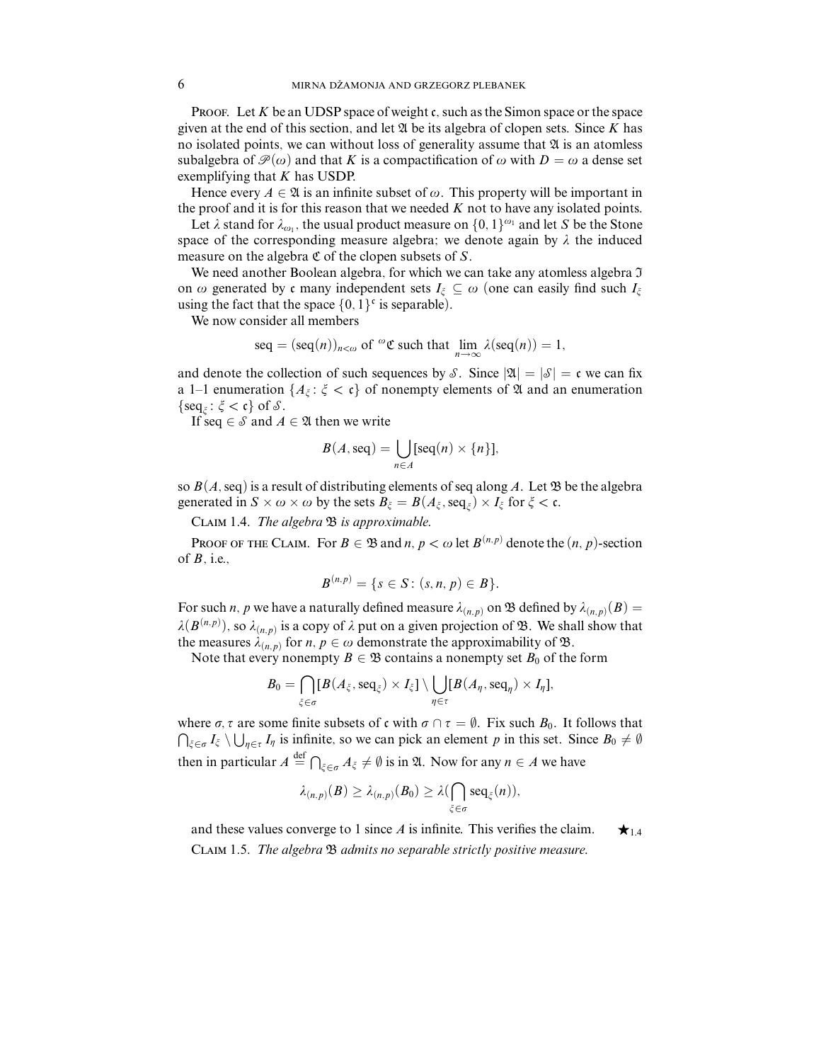**PROOF.** Let K be an UDSP space of weight c, such as the Simon space or the space given at the end of this section, and let  $\mathfrak A$  be its algebra of clopen sets. Since  $K$  has no isolated points, we can without loss of generality assume that  $\mathfrak A$  is an atomless subalgebra of  $\mathcal{P}(\omega)$  and that *K* is a compactification of  $\omega$  with  $D = \omega$  a dense set exemplifying that *K* has USDP.

Hence every  $A \in \mathfrak{A}$  is an infinite subset of  $\omega$ . This property will be important in the proof and it is for this reason that we needed *K* not to have any isolated points.

Let  $\lambda$  stand for  $\lambda_{\omega_1}$ , the usual product measure on  $\{0, 1\}^{\omega_1}$  and let *S* be the Stone space of the corresponding measure algebra; we denote again by  $\lambda$  the induced measure on the algebra  $\mathfrak C$  of the clopen subsets of  $S$ .

We need another Boolean algebra, for which we can take any atomless algebra  $\mathfrak I$ on  $\omega$  generated by c many independent sets  $I_{\xi} \subseteq \omega$  (one can easily find such  $I_{\xi}$ ) using the fact that the space  $\{0, 1\}^c$  is separable).

We now consider all members

$$
\text{seq} = (\text{seq}(n))_{n < \omega} \text{ of } {}^{\omega} \mathfrak{C} \text{ such that } \lim_{n \to \infty} \lambda(\text{seq}(n)) = 1,
$$

and denote the collection of such sequences by S. Since  $|\mathfrak{A}| = |\mathcal{S}| = \mathfrak{c}$  we can fix a 1–1 enumeration  $\{A_{\xi} : \xi < \mathfrak{c}\}\$  of nonempty elements of  $\mathfrak A$  and an enumeration  $\{\text{seq}_{\xi} : \xi < \mathfrak{c}\}\$  of  $\mathcal{S}.$ 

If seq  $\in$  *S* and *A*  $\in$  2*l* then we write

$$
B(A, \text{seq}) = \bigcup_{n \in A} [\text{seq}(n) \times \{n\}],
$$

so  $B(A, \text{seq})$  is a result of distributing elements of seq along A. Let  $\mathfrak B$  be the algebra generated in  $S \times \omega \times \omega$  by the sets  $B_{\xi} = B(A_{\xi}, \text{seq}_{\xi}) \times I_{\xi}$  for  $\xi < \mathfrak{c}$ .

CLAIM 1.4. The algebra  $\mathfrak B$  is approximable.

PROOF OF THE CLAIM. For  $B \in \mathfrak{B}$  and  $n, p < \omega$  let  $B^{(n,p)}$  denote the  $(n, p)$ -section of *B*, i.e.,

$$
B^{(n,p)} = \{s \in S : (s,n,p) \in B\}.
$$

For such *n*, *p* we have a naturally defined measure  $\lambda_{(n,p)}$  on  $\mathfrak B$  defined by  $\lambda_{(n,p)}(B)$  =  $\lambda(B^{(n,p)})$ , so  $\lambda_{(n,p)}$  is a copy of  $\lambda$  put on a given projection of  $\mathfrak{B}$ . We shall show that the measures  $\lambda_{(n,p)}$  for *n*,  $p \in \omega$  demonstrate the approximability of  $\mathfrak{B}$ .

Note that every nonempty  $B \in \mathcal{B}$  contains a nonempty set  $B_0$  of the form

$$
B_0 = \bigcap_{\xi \in \sigma} [B(A_{\xi}, \text{seq}_{\xi}) \times I_{\xi}] \setminus \bigcup_{\eta \in \tau} [B(A_{\eta}, \text{seq}_{\eta}) \times I_{\eta}],
$$

where  $\sigma$ ,  $\tau$  are some finite subsets of c with  $\sigma \cap \tau = \emptyset$ . Fix such  $B_0$ . It follows that  $\bigcap_{\xi \in \sigma} I_{\xi} \setminus \bigcup_{\eta \in \tau} I_{\eta}$  is infinite, so we can pick an element *p* in this set. Since *B*<sub>0</sub> ≠ ∅ then in particular  $A \stackrel{\text{def}}{=} \bigcap_{\xi \in \sigma} A_{\xi} \neq \emptyset$  is in  $\mathfrak{A}$ . Now for any  $n \in A$  we have

$$
\lambda_{(n,p)}(B) \geq \lambda_{(n,p)}(B_0) \geq \lambda(\bigcap_{\xi \in \sigma} \text{seq}_{\xi}(n)),
$$

and these values converge to 1 since *A* is infinite. This verifies the claim.  $\star_{1.4}$ Claim 1.5. The algebra B admits no separable strictly positive measure.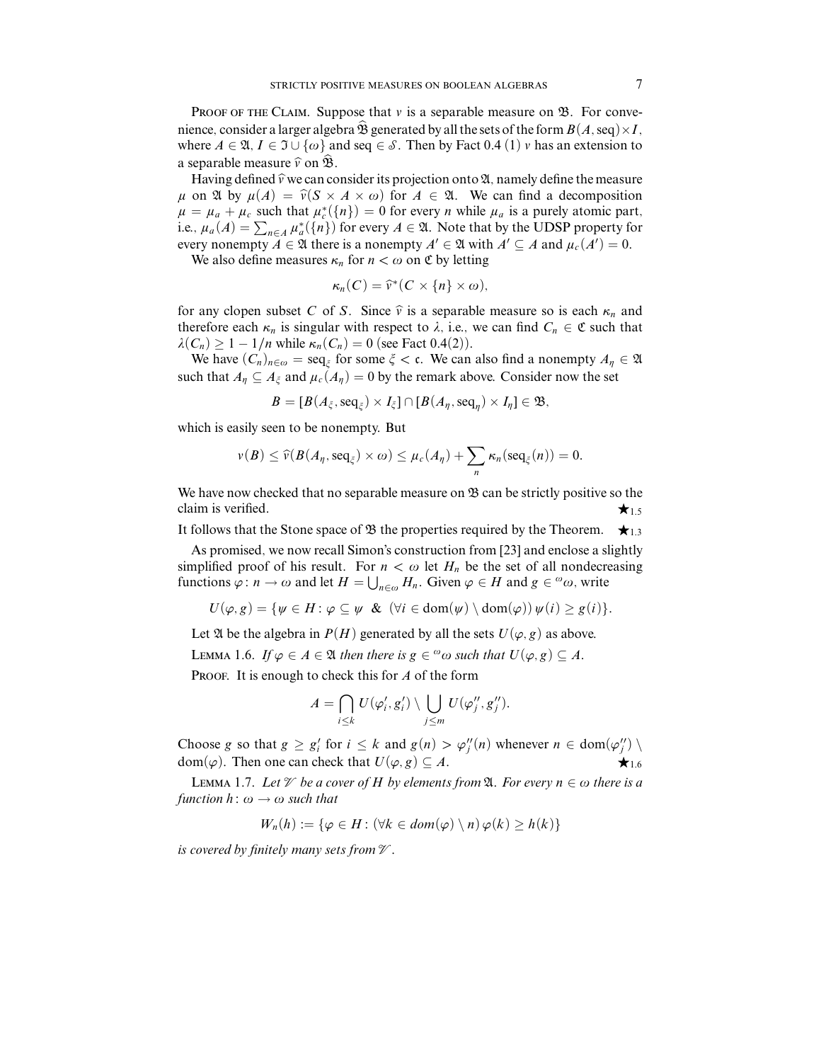**PROOF OF THE CLAIM.** Suppose that  $\nu$  is a separable measure on  $\mathfrak{B}$ . For convenience, consider a larger algebra  $\hat{\mathfrak{B}}$  generated by all the sets of the form  $B(A,\text{seq})\times I$ , where  $A \in \mathfrak{A}, I \in \mathfrak{I} \cup \{\omega\}$  and seq  $\in \mathcal{S}$ . Then by Fact 0.4 (1)  $\nu$  has an extension to a separable measure  $\hat{v}$  on  $\hat{\mathfrak{B}}$ .

Having defined  $\hat{v}$  we can consider its projection onto  $\mathfrak{A}$ , namely define the measure  $\mu$  on  $\mathfrak A$  by  $\mu(A) = \hat{\nu}(S \times A \times \omega)$  for  $A \in \mathfrak A$ . We can find a decomposition  $\mu = \mu_a + \mu_c$  such that  $\mu_c^*(\lbrace n \rbrace) = 0$  for every *n* while  $\mu_a$  is a purely atomic part, i.e.,  $\mu_a(A) = \sum_{n \in A} \mu_a^*(\{n\})$  for every  $A \in \mathfrak{A}$ . Note that by the UDSP property for every nonempty  $A \in \mathfrak{A}$  there is a nonempty  $A' \in \mathfrak{A}$  with  $A' \subseteq A$  and  $\mu_c(A') = 0$ .

We also define measures  $\kappa_n$  for  $n < \omega$  on  $\mathfrak{C}$  by letting

$$
\kappa_n(C)=\widehat{v}^*(C\times\{n\}\times\omega),
$$

for any clopen subset *C* of *S*. Since  $\hat{v}$  is a separable measure so is each  $\kappa_n$  and therefore each  $\kappa_n$  is singular with respect to  $\lambda$ , i.e., we can find  $C_n \in \mathfrak{C}$  such that  $\lambda(C_n) \geq 1 - 1/n$  while  $\kappa_n(C_n) = 0$  (see Fact 0.4(2)).

We have  $(C_n)_{n \in \omega} = \text{seq}_{\xi}$  for some  $\xi < \epsilon$ . We can also find a nonempty  $A_n \in \mathfrak{A}$ such that  $A_n \subseteq A_{\xi}$  and  $\mu_c(A_n) = 0$  by the remark above. Consider now the set

$$
B=[B(A_{\xi}, \text{seq}_{\xi}) \times I_{\xi}] \cap [B(A_{\eta}, \text{seq}_{\eta}) \times I_{\eta}] \in \mathfrak{B},
$$

which is easily seen to be nonempty. But

$$
\nu(B) \leq \widehat{\nu}(B(A_{\eta}, \text{seq}_{\xi}) \times \omega) \leq \mu_c(A_{\eta}) + \sum_{n} \kappa_n(\text{seq}_{\xi}(n)) = 0.
$$

We have now checked that no separable measure on  $\mathfrak{B}$  can be strictly positive so the claim is verified.  $\star$  1.5

It follows that the Stone space of  $\mathfrak B$  the properties required by the Theorem.  $\star_{1,3}$ 

As promised, we now recall Simon's construction from [23] and enclose a slightly simplified proof of his result. For  $n < \omega$  let  $H_n$  be the set of all nondecreasing functions  $\varphi : n \to \omega$  and let  $H = \bigcup_{n \in \omega} H_n$ . Given  $\varphi \in H$  and  $g \in \omega$ , write

$$
U(\varphi, g) = \{ \psi \in H : \varphi \subseteq \psi \; \& \; (\forall i \in \text{dom}(\psi) \setminus \text{dom}(\varphi)) \, \psi(i) \geq g(i) \}.
$$

Let  $\mathfrak A$  be the algebra in  $P(H)$  generated by all the sets  $U(\varphi, g)$  as above.

LEMMA 1.6. If  $\varphi \in A \in \mathfrak{A}$  then there is  $g \in \mathfrak{a}$  such that  $U(\varphi, g) \subseteq A$ .

PROOF. It is enough to check this for *A* of the form

$$
A=\bigcap_{i\leq k}U(\varphi'_i,g'_i)\setminus\bigcup_{j\leq m}U(\varphi''_j,g''_j).
$$

Choose *g* so that  $g \geq g'_i$  for  $i \leq k$  and  $g(n) > \varphi''_j(n)$  whenever  $n \in \text{dom}(\varphi''_j) \setminus \varphi''_j(n)$  $dom(\varphi)$ . Then one can check that  $U(\varphi, g) \subseteq A$ .

LEMMA 1.7. Let  $\mathcal V$  be a cover of *H* by elements from  $\mathfrak A$ . For every  $n \in \omega$  there is a function  $h: \omega \rightarrow \omega$  such that

$$
W_n(h) := \{ \varphi \in H : (\forall k \in dom(\varphi) \setminus n) \varphi(k) \ge h(k) \}
$$

is covered by finitely many sets from  $\mathcal V$ .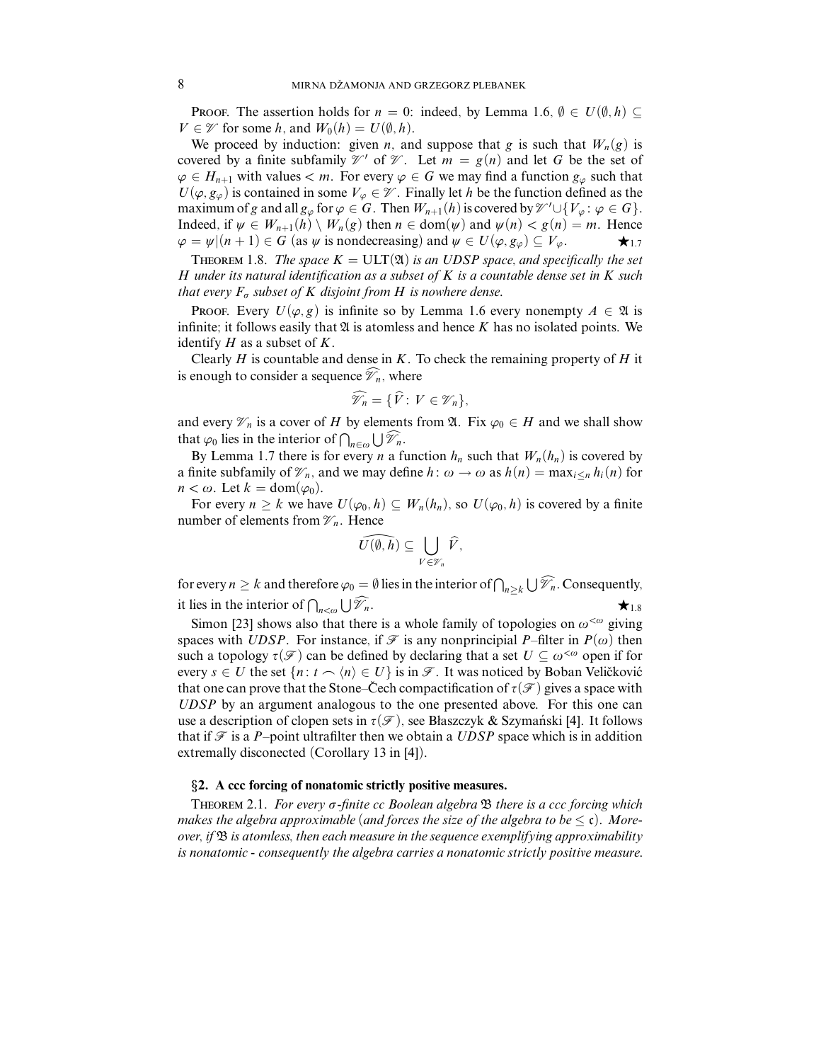PROOF. The assertion holds for  $n = 0$ : indeed, by Lemma 1.6,  $\emptyset \in U(\emptyset, h)$ *V* ∈  $\mathcal{V}$  for some *h*, and  $W_0(h) = U(\emptyset, h)$ .

We proceed by induction: given *n*, and suppose that *g* is such that  $W_n(g)$  is covered by a finite subfamily  $\mathcal{V}'$  of  $\mathcal{V}$ . Let  $m = g(n)$  and let G be the set of  $\varphi \in H_{n+1}$  with values  $\lt m$ . For every  $\varphi \in G$  we may find a function  $g_{\varphi}$  such that  $U(\varphi, g_{\varphi})$  is contained in some  $V_{\varphi} \in \mathcal{V}$ . Finally let *h* be the function defined as the maximum of *g* and all  $g_{\varphi}$  for  $\varphi \in G$ . Then  $W_{n+1}(h)$  is covered by  $\mathcal{V}' \cup \{V_{\varphi} : \varphi \in G\}$ . Indeed, if  $\psi \in W_{n+1}(h) \setminus W_n(g)$  then  $n \in \text{dom}(\psi)$  and  $\psi(n) < g(n) = m$ . Hence  $\varphi = \psi | (n+1) \in G$  (as  $\psi$  is nondecreasing) and  $\psi \in U(\varphi, g_{\varphi}) \subseteq V_{\varphi}$ .  $\varphi = \psi | (n+1) \in G$  (as  $\psi$  is nondecreasing) and  $\psi \in U(\varphi, g_{\varphi}) \subseteq V_{\varphi}$ .

THEOREM 1.8. The space  $K = \text{ULT}(\mathfrak{A})$  is an UDSP space, and specifically the set *H* under its natural identification as a subset of *K* is a countable dense set in *K* such that every  $F_{\sigma}$  subset of *K* disjoint from *H* is nowhere dense.

**PROOF.** Every  $U(\varphi, g)$  is infinite so by Lemma 1.6 every nonempty  $A \in \mathfrak{A}$  is infinite; it follows easily that  $\mathfrak A$  is atomless and hence  $K$  has no isolated points. We identify *H* as a subset of *K*.

Clearly *H* is countable and dense in *K*. To check the remaining property of *H* it is enough to consider a sequence  $\mathcal{V}_n$ , where

$$
\widehat{\mathscr{V}}_n = \{\widehat{V}: V \in \mathscr{V}_n\},\
$$

and every  $\mathcal{V}_n$  is a cover of *H* by elements from  $\mathfrak{A}$ . Fix  $\varphi_0 \in H$  and we shall show that  $\varphi_0$  lies in the interior of  $\bigcap_{n\in\omega}\bigcup\widehat{\mathscr{V}}_n$ .

By Lemma 1.7 there is for every *n* a function  $h_n$  such that  $W_n(h_n)$  is covered by a finite subfamily of  $\mathcal{V}_n$ , and we may define  $h: \omega \to \omega$  as  $h(n) = \max_{i \leq n} h_i(n)$  for  $n < \omega$ . Let  $k = \text{dom}(\varphi_0)$ .

For every  $n \geq k$  we have  $U(\varphi_0, h) \subseteq W_n(h_n)$ , so  $U(\varphi_0, h)$  is covered by a finite number of elements from  $\mathcal{V}_n$ . Hence

$$
\widehat{U(\emptyset,h)}\subseteq\bigcup_{V\in\mathscr{V}_n}\widehat{V},
$$

for every  $n \geq k$  and therefore  $\varphi_0 = \emptyset$  lies in the interior of  $\bigcap_{n \geq k} \bigcup \widehat{\mathscr{V}}_n$ . Consequently, it lies in the interior of  $\bigcap_{n<\omega}\bigcup \widetilde{\mathscr{V}}$  $\mathscr{V}_n$ .

Simon [23] shows also that there is a whole family of topologies on  $\omega^{\lt}\omega$  giving spaces with *UDSP*. For instance, if  $\mathcal F$  is any nonprincipial *P*–filter in  $P(\omega)$  then such a topology  $\tau(\mathcal{F})$  can be defined by declaring that a set  $U \subseteq \omega^{<\omega}$  open if for every  $s \in U$  the set  $\{n : t \setminus \langle n \rangle \in U\}$  is in  $\mathscr{F}$ . It was noticed by Boban Veličković that one can prove that the Stone–Čech compactification of  $\tau(\mathcal{F})$  gives a space with *UDSP* by an argument analogous to the one presented above. For this one can use a description of clopen sets in  $\tau(\mathcal{F})$ , see Błaszczyk & Szymański [4]. It follows that if  $\mathcal F$  is a *P*-point ultrafilter then we obtain a *UDSP* space which is in addition extremally disconected (Corollary 13 in [4]).

## §**2. A ccc forcing of nonatomic strictly positive measures.**

THEOREM 2.1. For every  $\sigma$ -finite cc Boolean algebra  $\mathfrak B$  there is a ccc forcing which makes the algebra approximable (and forces the size of the algebra to be  $\leq \mathfrak{c}$ ). Moreover, if  $\mathfrak B$  is atomless, then each measure in the sequence exemplifying approximability is nonatomic - consequently the algebra carries a nonatomic strictly positive measure.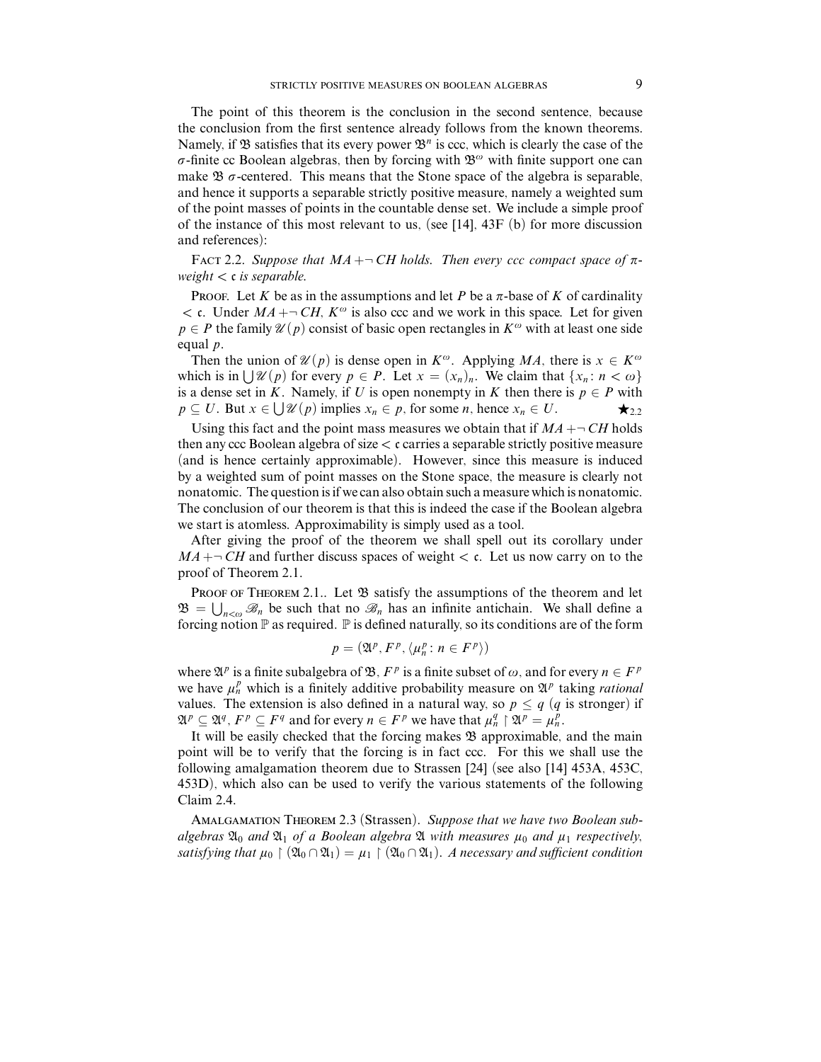The point of this theorem is the conclusion in the second sentence, because the conclusion from the first sentence already follows from the known theorems. Namely, if  $\mathfrak B$  satisfies that its every power  $\mathfrak B^n$  is ccc, which is clearly the case of the  $\sigma$ -finite cc Boolean algebras, then by forcing with  $\mathfrak{B}^{\omega}$  with finite support one can make  $\mathfrak B$   $\sigma$ -centered. This means that the Stone space of the algebra is separable, and hence it supports a separable strictly positive measure, namely a weighted sum of the point masses of points in the countable dense set. We include a simple proof of the instance of this most relevant to us, (see  $[14]$ ,  $43F$  (b) for more discussion and references):

FACT 2.2. Suppose that  $MA + \neg CH$  holds. Then every ccc compact space of  $\pi$ weight *<* c is separable.

PROOF. Let K be as in the assumptions and let P be a  $\pi$ -base of K of cardinality  $\lt$  c. Under  $MA + \neg CH$ ,  $K^{\omega}$  is also ccc and we work in this space. Let for given  $p \in P$  the family  $\mathcal{U}(p)$  consist of basic open rectangles in  $K^{\omega}$  with at least one side equal *p*.

Then the union of  $\mathcal{U}(p)$  is dense open in  $K^{\omega}$ . Applying *MA*, there is  $x \in K^{\omega}$ which is in  $\bigcup \mathcal{U}(p)$  for every  $p \in P$ . Let  $x = (x_n)_n$ . We claim that  $\{x_n : n < \omega\}$ is a dense set in *K*. Namely, if *U* is open nonempty in *K* then there is  $p \in P$  with  $p \subseteq U$ . But  $x \in \bigcup \mathcal{U}(p)$  implies  $x_n \in p$ , for some *n*, hence  $x_n \in U$ .

Using this fact and the point mass measures we obtain that if  $MA + \neg CH$  holds then any ccc Boolean algebra of size *<* c carries a separable strictly positive measure (and is hence certainly approximable). However, since this measure is induced by a weighted sum of point masses on the Stone space, the measure is clearly not nonatomic. The question is if we can also obtain such a measure which is nonatomic. The conclusion of our theorem is that this is indeed the case if the Boolean algebra we start is atomless. Approximability is simply used as a tool.

After giving the proof of the theorem we shall spell out its corollary under  $MA + \neg CH$  and further discuss spaces of weight  $\lt c$ . Let us now carry on to the proof of Theorem 2.1.

PROOF OF THEOREM 2.1.. Let  $\mathfrak B$  satisfy the assumptions of the theorem and let  $\mathfrak{B} = \bigcup_{n < \omega} \mathcal{B}_n$  be such that no  $\mathcal{B}_n$  has an infinite antichain. We shall define a forcing notion  $\mathbb P$  as required.  $\mathbb P$  is defined naturally, so its conditions are of the form

$$
p = (\mathfrak{A}^p, F^p, \langle \mu_n^p : n \in F^p \rangle)
$$

where  $\mathfrak{A}^p$  is a finite subalgebra of  $\mathfrak{B}, F^p$  is a finite subset of  $\omega$ , and for every  $n \in F^p$ we have  $\mu_n^p$  which is a finitely additive probability measure on  $\mathfrak{A}^p$  taking *rational* values. The extension is also defined in a natural way, so  $p \leq q$  (q is stronger) if  $\mathfrak{A}^p \subseteq \mathfrak{A}^q$ ,  $F^p \subseteq F^q$  and for every  $n \in F^p$  we have that  $\mu_n^q \restriction \mathfrak{A}^p = \mu_n^p$ .

It will be easily checked that the forcing makes  $\mathfrak B$  approximable, and the main point will be to verify that the forcing is in fact ccc. For this we shall use the following amalgamation theorem due to Strassen [24] (see also [14] 453A, 453C, 453D), which also can be used to verify the various statements of the following Claim 2.4.

Amalgamation Theorem 2.3 (Strassen). Suppose that we have two Boolean subalgebras  $\mathfrak{A}_0$  and  $\mathfrak{A}_1$  of a Boolean algebra  $\mathfrak A$  with measures  $\mu_0$  and  $\mu_1$  respectively, satisfying that  $\mu_0 \restriction (\mathfrak{A}_0 \cap \mathfrak{A}_1) = \mu_1 \restriction (\mathfrak{A}_0 \cap \mathfrak{A}_1)$ . A necessary and sufficient condition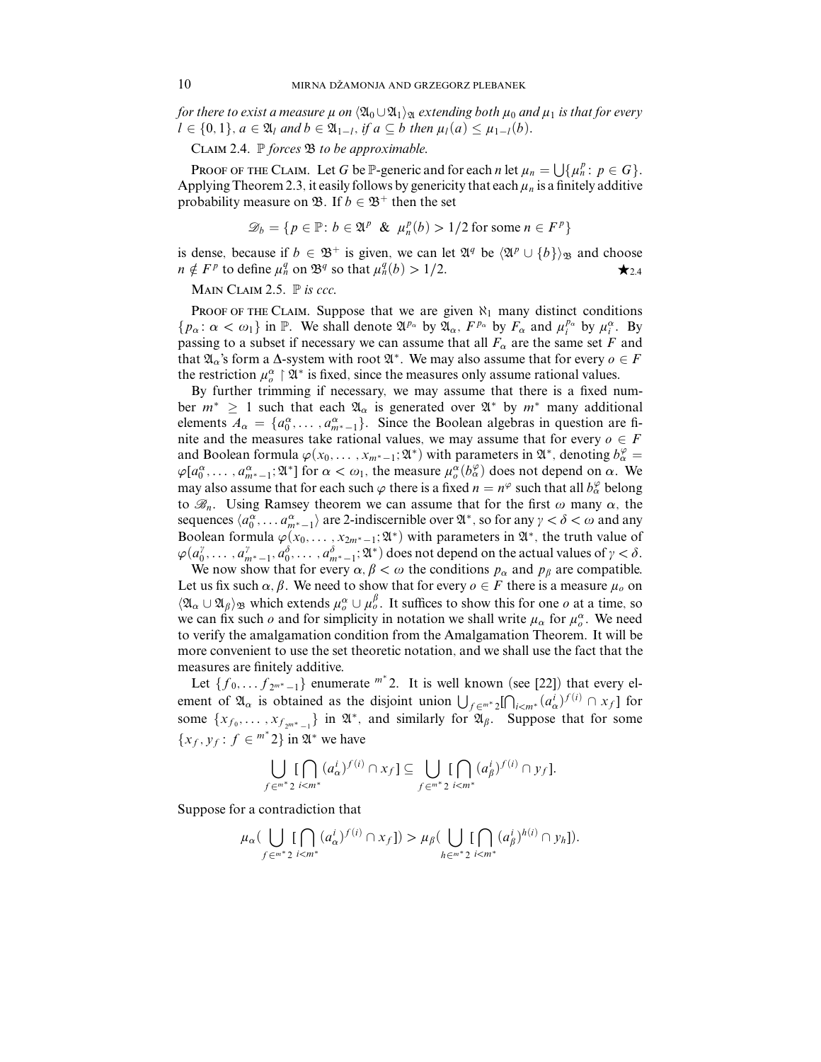for there to exist a measure  $\mu$  on  $\langle \mathfrak{A}_0 \cup \mathfrak{A}_1 \rangle_{\mathfrak{A}}$  extending both  $\mu_0$  and  $\mu_1$  is that for every  $l \in \{0, 1\}$ ,  $a \in \mathfrak{A}_l$  and  $b \in \mathfrak{A}_{1-l}$ , if  $a \subseteq b$  then  $\mu_l(a) \leq \mu_{1-l}(b)$ .

CLAIM 2.4.  $\mathbb P$  forces  $\mathfrak B$  to be approximable.

PROOF OF THE CLAIM. Let *G* be P-generic and for each *n* let  $\mu_n = \bigcup \{ \mu_n^p : p \in G \}.$ Applying Theorem 2.3, it easily follows by genericity that each  $\mu_n$  is a finitely additive probability measure on  $\mathfrak{B}$ . If  $b \in \mathfrak{B}^+$  then the set

$$
\mathcal{D}_b = \{ p \in \mathbb{P} \colon b \in \mathfrak{A}^p \& \mu_n^p(b) > 1/2 \text{ for some } n \in F^p \}
$$

is dense, because if *b* ∈  $\mathfrak{B}^+$  is given, we can let  $\mathfrak{A}^q$  be  $\langle \mathfrak{A}^p \cup \{b\} \rangle_{\mathfrak{B}}$  and choose  $n \notin F^p$  to define  $\mu_n^q$  on  $\mathfrak{B}^q$  so that  $\mu_n^q(b) > 1/2$ . *n*  $\notin$  *F*<sup>*p*</sup> to define  $\mu_n^q$  on  $\mathfrak{B}^q$  so that  $\mu_n^q(b) > 1/2$ .

MAIN CLAIM 2.5.  $\mathbb P$  is ccc.

PROOF OF THE CLAIM. Suppose that we are given  $\aleph_1$  many distinct conditions  $\{p_\alpha : \alpha < \omega_1\}$  in P. We shall denote  $\mathfrak{A}^{p_\alpha}$  by  $\mathfrak{A}_\alpha$ ,  $F^{p_\alpha}$  by  $F_\alpha$  and  $\mu_i^{p_\alpha}$  by  $\mu_i^{\alpha}$ . By passing to a subset if necessary we can assume that all  $F_\alpha$  are the same set *F* and that  $\mathfrak{A}_\alpha$ 's form a  $\Delta$ -system with root  $\mathfrak{A}^*$ . We may also assume that for every  $o \in F$ the restriction  $\mu_o^{\alpha} \upharpoonright \mathfrak{A}^*$  is fixed, since the measures only assume rational values.

By further trimming if necessary, we may assume that there is a fixed number  $m^* \geq 1$  such that each  $\mathfrak{A}_{\alpha}$  is generated over  $\mathfrak{A}^*$  by  $m^*$  many additional elements  $A_{\alpha} = \{a_0^{\alpha}, \dots, a_{m^*-1}^{\alpha}\}$ . Since the Boolean algebras in question are finite and the measures take rational values, we may assume that for every  $o \in F$ and Boolean formula  $\varphi(x_0, \ldots, x_{m^*-1}; \mathfrak{A}^*)$  with parameters in  $\mathfrak{A}^*$ , denoting  $b^{\varphi}_{\alpha} =$  $\varphi[a_0^\alpha, \dots, a_{m^*-1}^\alpha; \mathfrak{A}^*]$  for  $\alpha < \omega_1$ , the measure  $\mu_\sigma^\alpha(b_\alpha^\varphi)$  does not depend on  $\alpha$ . We may also assume that for each such  $\varphi$  there is a fixed  $n = n^{\varphi}$  such that all  $b^{\varphi}_\alpha$  belong to  $\mathcal{B}_n$ . Using Ramsey theorem we can assume that for the first  $\omega$  many  $\alpha$ , the sequences  $\langle a_0^\alpha, \dots, a_{m^*-1}^\alpha \rangle$  are 2-indiscernible over  $\mathfrak{A}^*$ , so for any  $\gamma < \delta < \omega$  and any Boolean formula  $\varphi(x_0, \ldots, x_{2m^*-1}; \mathfrak{A}^*)$  with parameters in  $\mathfrak{A}^*$ , the truth value of  $\varphi(a_0^{\gamma}, \ldots, a_{m^*-1}^{\gamma}, a_0^{\delta}, \ldots, a_{m^*-1}^{\delta}; \mathfrak{A}^*)$  does not depend on the actual values of  $\gamma < \delta$ .

We now show that for every  $\alpha, \beta < \omega$  the conditions  $p_{\alpha}$  and  $p_{\beta}$  are compatible. Let us fix such  $\alpha$ ,  $\beta$ . We need to show that for every  $o \in F$  there is a measure  $\mu_o$  on  $\langle \mathfrak{A}_{\alpha} \cup \mathfrak{A}_{\beta} \rangle_{\mathfrak{B}}$  which extends  $\mu^{\alpha}_{\theta} \cup \mu^{\beta}_{\theta}$ . It suffices to show this for one *o* at a time, so we can fix such *o* and for simplicity in notation we shall write  $\mu_{\alpha}$  for  $\mu_o^{\alpha}$ . We need to verify the amalgamation condition from the Amalgamation Theorem. It will be more convenient to use the set theoretic notation, and we shall use the fact that the measures are finitely additive.

Let  $\{f_0, \ldots, f_{2^{m^*}-1}\}\$ enumerate  $^{m^*}$  2. It is well known (see [22]) that every element of  $\mathfrak{A}_{\alpha}$  is obtained as the disjoint union  $\bigcup_{f \in \mathbb{R}^n^*} \Omega \bigcap_{i < m^*} (a_{\alpha}^i)^{f(i)} \cap x_f \big]$  for some  $\{x_{f_0}, \ldots, x_{f_{2^{m^*}-1}}\}$  in  $\mathfrak{A}^*$ , and similarly for  $\mathfrak{A}_{\beta}$ . Suppose that for some  $\{x_f, y_f : f \in \mathbb{R}^n : 2\}$  in  $\mathfrak{A}^*$  we have

$$
\bigcup_{f \in \mathbb{m}^*} \big[\bigcap_{i < m^*} (a^i_\alpha)^{f(i)} \cap x_f\big] \subseteq \bigcup_{f \in \mathbb{m}^*} \big[\bigcap_{i < m^*} (a^i_\beta)^{f(i)} \cap y_f\big].
$$

Suppose for a contradiction that

$$
\mu_{\alpha}(\bigcup_{f \in \mathbb{M}^*} \big[\bigcap_{i \in \mathbb{M}^*} (a_{\alpha}^i)^{f(i)} \cap x_f\big]) > \mu_{\beta}(\bigcup_{h \in \mathbb{M}^*} \big[\bigcap_{i \in \mathbb{M}^*} (a_{\beta}^i)^{h(i)} \cap y_h\big]).
$$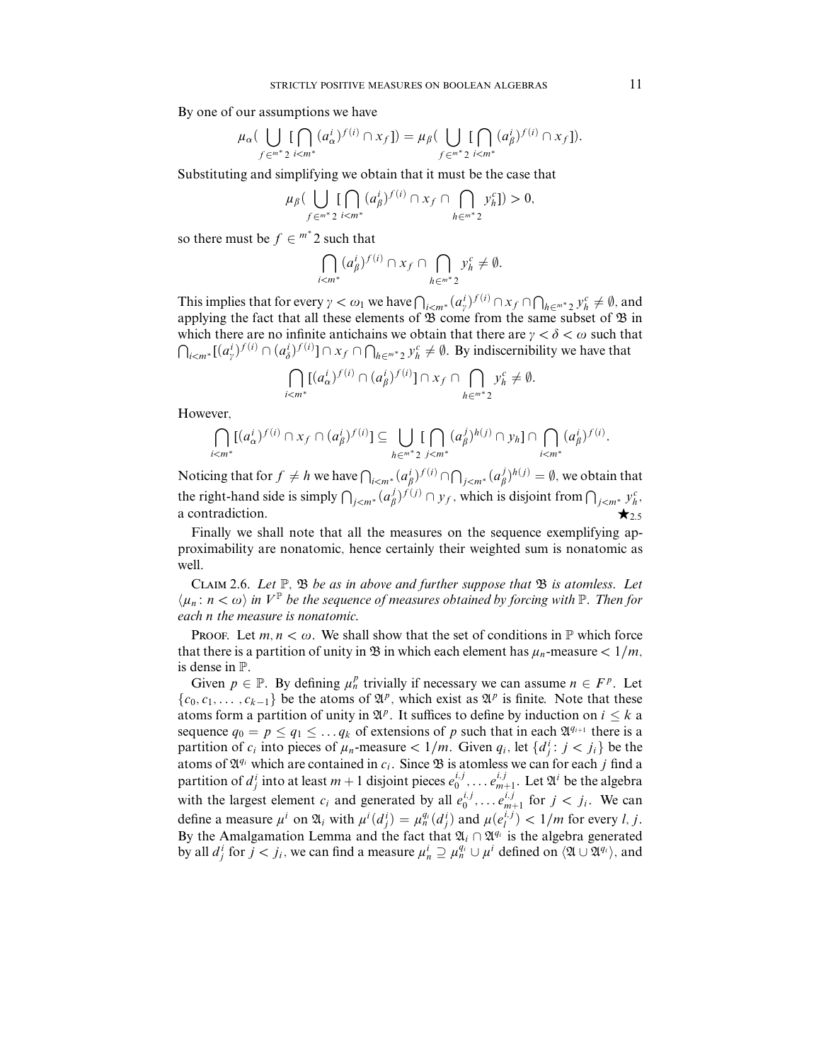By one of our assumptions we have

$$
\mu_{\alpha}(\bigcup_{f \in \mathbb{M}^*} \big[\bigcap_{i \leq m^*} (a_{\alpha}^i)^{f(i)} \cap x_f]\big) = \mu_{\beta}(\bigcup_{f \in \mathbb{M}^*} \big[\bigcap_{i \leq m^*} (a_{\beta}^i)^{f(i)} \cap x_f]\big).
$$

Substituting and simplifying we obtain that it must be the case that

$$
\mu_{\beta}\left(\bigcup_{f\in\mathfrak{m}^*} \prod_{2i="" (a_{\beta}^i)^{f(i)}="" 0,<="" \bigcap_{h\in\mathfrak{m}^*}="" \cap="" \right)="" math="" x_f="" y_h^c="">
$$

so there must be  $f \in \mathbb{R}^n$ <sup>\*</sup> 2 such that

$$
\bigcap_{i
$$

This implies that for every  $\gamma < \omega_1$  we have  $\bigcap_{i \leq m^*} (a_\gamma^i)^{f(i)} \cap x_f \cap \bigcap_{h \in \mathbb{R}^*^*} 2 y_h^c \neq \emptyset$ , and applying the fact that all these elements of  $\mathfrak B$  come from the same subset of  $\mathfrak B$  in which there are no infinite antichains we obtain that there are  $\gamma < \delta < \omega$  such that  $\bigcap_{i \leq m^*} [(a_j^i)^{f(i)} \cap (a_j^i)^{f(i)}] \cap x_f \cap \bigcap_{h \in \mathbb{R}^*} x_f^i \neq \emptyset$ . By indiscernibility we have that

$$
\bigcap_{i
$$

However,

$$
\bigcap_{i
$$

Noticing that for  $f \neq h$  we have  $\bigcap_{i \leq m^*} (a_\beta^i)^{f(i)} \cap \bigcap_{j \leq m^*} (a_\beta^j)^{h(j)} = \emptyset$ , we obtain that the right-hand side is simply  $\bigcap_{j \le m^*} (a_\beta^j)^{f(j)} \cap y_f$ , which is disjoint from  $\bigcap_{j \le m^*} y_h^c$ , a contradiction.  $\star$  2.5</sub>

Finally we shall note that all the measures on the sequence exemplifying approximability are nonatomic, hence certainly their weighted sum is nonatomic as well.

CLAIM 2.6. Let  $\mathbb{P}$ ,  $\mathfrak{B}$  be as in above and further suppose that  $\mathfrak{B}$  is atomless. Let  $\langle u_n : n < \omega \rangle$  *in*  $V^{\mathbb{P}}$  *be the sequence of measures obtained by forcing with*  $\mathbb{P}$ *. Then for* each *n* the measure is nonatomic.

**PROOF.** Let  $m, n < \omega$ . We shall show that the set of conditions in  $\mathbb{P}$  which force that there is a partition of unity in  $\mathfrak{B}$  in which each element has  $\mu_n$ -measure  $\lt 1/m$ , is dense in P.

Given  $p \in \mathbb{P}$ . By defining  $\mu_n^p$  trivially if necessary we can assume  $n \in F^p$ . Let  $\{c_0, c_1, \ldots, c_{k-1}\}\$  be the atoms of  $\mathfrak{A}^p$ , which exist as  $\mathfrak{A}^p$  is finite. Note that these atoms form a partition of unity in  $\mathfrak{A}^p$ . It suffices to define by induction on  $i \leq k$  a sequence  $q_0 = p \le q_1 \le \dots q_k$  of extensions of p such that in each  $\mathfrak{A}^{q_{i+1}}$  there is a partition of  $c_i$  into pieces of  $\mu_n$ -measure  $\lt 1/m$ . Given  $q_i$ , let  $\{d_j^i : j \lt j_i\}$  be the atoms of  $\mathfrak{A}^{q_i}$  which are contained in  $c_i$ . Since  $\mathfrak{B}$  is atomless we can for each *j* find a partition of  $d_j^i$  into at least  $m + 1$  disjoint pieces  $e_0^{i,j}, \ldots e_{m+1}^{i,j}$ . Let  $\mathfrak{A}^i$  be the algebra with the largest element  $c_i$  and generated by all  $e_0^{i,j}, \ldots e_{m+1}^{i,j}$  for  $j < j_i$ . We can define a measure  $\mu^i$  on  $\mathfrak{A}_i$  with  $\mu^i(d_j^i) = \mu_n^{q_i}(d_j^i)$  and  $\mu(e_i^{i,j}) < 1/m$  for every *l*, *j*. By the Amalgamation Lemma and the fact that  $\mathfrak{A}_i \cap \mathfrak{A}^{q_i}$  is the algebra generated by all  $d_j^i$  for  $j < j_i$ , we can find a measure  $\mu_n^i \supseteq \mu_n^{q_i} \cup \mu^i$  defined on  $\langle \mathfrak{A} \cup \mathfrak{A}^{q_i} \rangle$ , and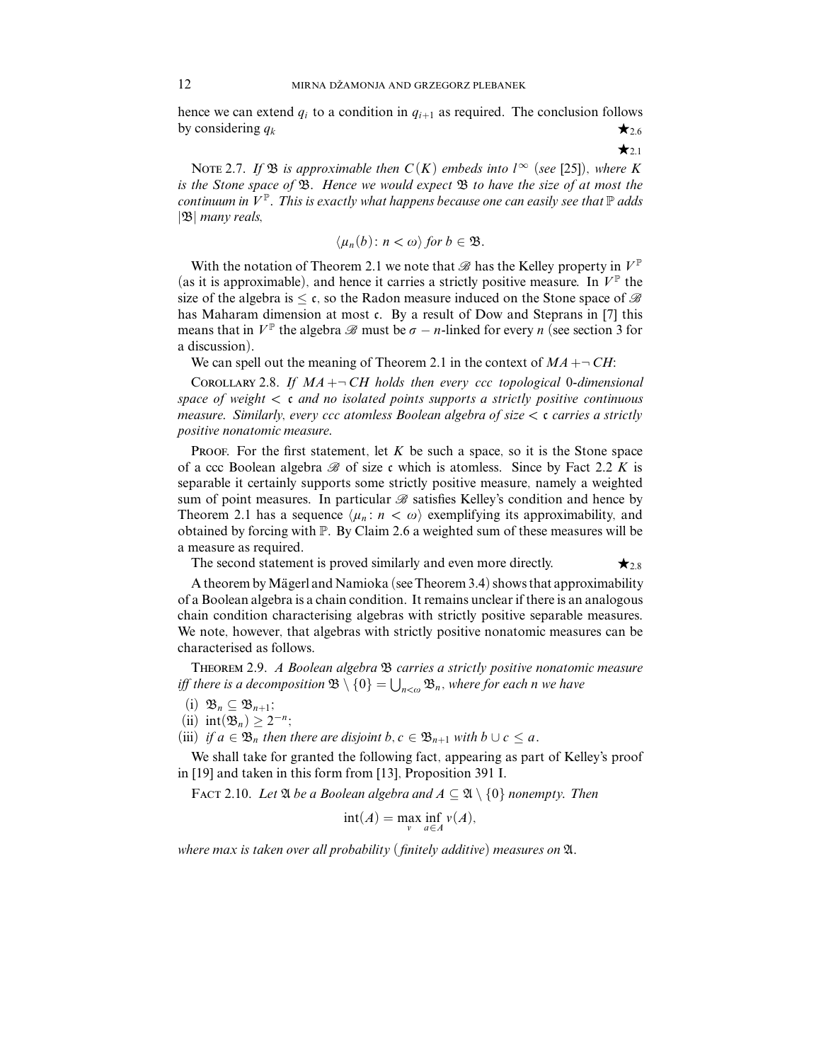hence we can extend  $q_i$  to a condition in  $q_{i+1}$  as required. The conclusion follows by considering  $q_k$   $\star_{2.6}$ 

 $\star_{2.1}$ 

NOTE 2.7. If  $\mathfrak{B}$  is approximable then  $C(K)$  embeds into  $l^{\infty}$  (see [25]), where K is the Stone space of  $\mathfrak{B}$ . Hence we would expect  $\mathfrak{B}$  to have the size of at most the continuum in  $V^{\mathbb{P}}$ . This is exactly what happens because one can easily see that  $\mathbb{P}$  adds |B| many reals,

$$
\langle \mu_n(b) \colon n < \omega \rangle \text{ for } b \in \mathfrak{B}.
$$

With the notation of Theorem 2.1 we note that  $\mathscr B$  has the Kelley property in  $V^{\mathbb P}$ (as it is approximable), and hence it carries a strictly positive measure. In  $V^{\mathbb{P}}$  the size of the algebra is  $\leq \mathfrak{c}$ , so the Radon measure induced on the Stone space of  $\mathscr B$ has Maharam dimension at most c. By a result of Dow and Steprans in [7] this means that in  $V^{\mathbb{P}}$  the algebra  $\mathcal{B}$  must be  $\sigma - n$ -linked for every *n* (see section 3 for a discussion).

We can spell out the meaning of Theorem 2.1 in the context of  $MA + \neg CH$ :

COROLLARY 2.8. If  $MA + \neg CH$  holds then every ccc topological 0-dimensional space of weight *<* c and no isolated points supports a strictly positive continuous measure. Similarly, every ccc atomless Boolean algebra of size *<* c carries a strictly positive nonatomic measure.

Proof. For the first statement, let *K* be such a space, so it is the Stone space of a ccc Boolean algebra  $\mathscr B$  of size c which is atomless. Since by Fact 2.2 K is separable it certainly supports some strictly positive measure, namely a weighted sum of point measures. In particular  $\mathscr B$  satisfies Kelley's condition and hence by Theorem 2.1 has a sequence  $\langle \mu_n : n < \omega \rangle$  exemplifying its approximability, and obtained by forcing with P. By Claim 2.6 a weighted sum of these measures will be a measure as required.

The second statement is proved similarly and even more directly.  $\star_{2.8}$ 

A theorem by Mägerl and Namioka (see Theorem 3.4) shows that approximability of a Boolean algebra is a chain condition. It remains unclear if there is an analogous chain condition characterising algebras with strictly positive separable measures. We note, however, that algebras with strictly positive nonatomic measures can be characterised as follows.

Theorem 2.9. A Boolean algebra B carries a strictly positive nonatomic measure iff there is a decomposition  $\mathfrak{B} \setminus \{0\} = \bigcup_{n < \omega} \mathfrak{B}_n$ , where for each  $n$  we have

- (i)  $\mathfrak{B}_n \subseteq \mathfrak{B}_{n+1};$
- (ii)  $int(\mathfrak{B}_n) \geq 2^{-n}$ ;

(iii) if  $a \in \mathfrak{B}_n$  then there are disjoint  $b, c \in \mathfrak{B}_{n+1}$  with  $b \cup c \leq a$ .

We shall take for granted the following fact, appearing as part of Kelley's proof in [19] and taken in this form from [13], Proposition 391 I.

FACT 2.10. Let  $\mathfrak A$  be a Boolean algebra and  $A \subseteq \mathfrak A \setminus \{0\}$  nonempty. Then

$$
int(A) = \max_{v} \inf_{a \in A} v(A),
$$

where max is taken over all probability (finitely additive) measures on  $\mathfrak{A}$ .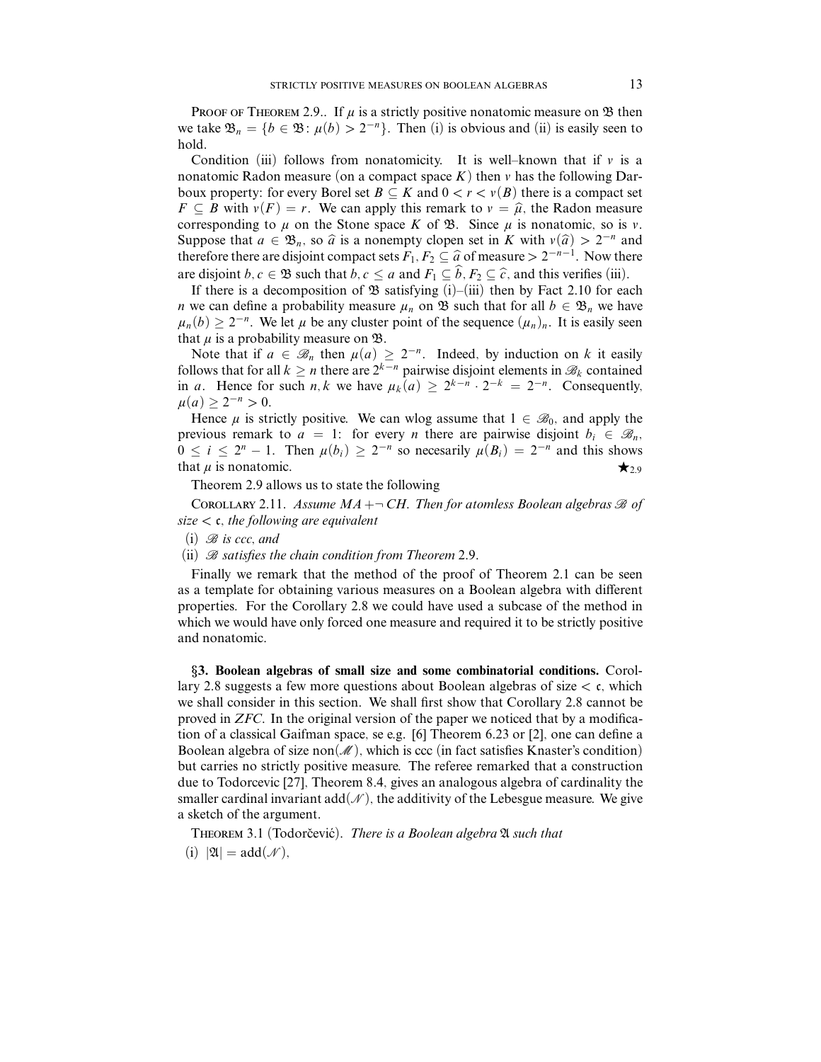PROOF OF THEOREM 2.9.. If  $\mu$  is a strictly positive nonatomic measure on  $\mathfrak B$  then we take  $\mathfrak{B}_n = \{b \in \mathfrak{B} : \mu(b) > 2^{-n}\}\$ . Then (i) is obvious and (ii) is easily seen to hold.

Condition (iii) follows from nonatomicity. It is well–known that if  $\nu$  is a nonatomic Radon measure (on a compact space  $K$ ) then  $\nu$  has the following Darboux property: for every Borel set  $B \subseteq K$  and  $0 < r < v(B)$  there is a compact set  $F \subseteq B$  with  $v(F) = r$ . We can apply this remark to  $v = \hat{\mu}$ , the Radon measure corresponding to  $\mu$  on the Stone space *K* of  $\mathcal{B}$ . Since  $\mu$  is nonatomic, so is *v*. Suppose that  $a \in \mathfrak{B}_n$ , so  $\hat{a}$  is a nonempty clopen set in *K* with  $v(\hat{a}) > 2^{-n}$  and therefore there are disjoint compact sets  $F_1, F_2 \subseteq \hat{a}$  of measure  $> 2^{-n-1}$ . Now there are disjoint *b, c* ∈  $\mathfrak{B}$  such that *b, c* ≤ *a* and  $F_1 \subseteq b$ ,  $F_2 \subseteq \hat{c}$ , and this verifies (iii).

If there is a decomposition of  $\mathfrak B$  satisfying (i)–(iii) then by Fact 2.10 for each *n* we can define a probability measure  $\mu_n$  on B such that for all  $b \in \mathcal{B}_n$  we have  $\mu_n(b) \geq 2^{-n}$ . We let  $\mu$  be any cluster point of the sequence  $(\mu_n)_n$ . It is easily seen that  $\mu$  is a probability measure on  $\mathfrak{B}$ .

Note that if  $a \in \mathcal{B}_n$  then  $\mu(a) \geq 2^{-n}$ . Indeed, by induction on k it easily follows that for all  $k \geq n$  there are  $2^{k-n}$  pairwise disjoint elements in  $\mathcal{B}_k$  contained in *a*. Hence for such *n, k* we have  $\mu_k(a) \geq 2^{k-n} \cdot 2^{-k} = 2^{-n}$ . Consequently,  $\mu$ (*a*) ≥ 2<sup>−*n*</sup> > 0.

Hence  $\mu$  is strictly positive. We can wlog assume that  $1 \in \mathcal{B}_0$ , and apply the previous remark to  $a = 1$ : for every *n* there are pairwise disjoint  $b_i \in \mathcal{B}_n$ ,  $0 \le i \le 2^n - 1$ . Then  $\mu(b_i) \ge 2^{-n}$  so necessarily  $\mu(B_i) = 2^{-n}$  and this shows that  $\mu$  is nonatomic.  $\star_{2.9}$ 

Theorem 2.9 allows us to state the following

COROLLARY 2.11. Assume  $MA + \neg CH$ . Then for atomless Boolean algebras  $\mathcal B$  of size *<* c, the following are equivalent

 $(i)$   $\mathscr{B}$  is ccc, and

(ii)  $\mathcal B$  satisfies the chain condition from Theorem 2.9.

Finally we remark that the method of the proof of Theorem 2.1 can be seen as a template for obtaining various measures on a Boolean algebra with different properties. For the Corollary 2.8 we could have used a subcase of the method in which we would have only forced one measure and required it to be strictly positive and nonatomic.

§**3. Boolean algebras of small size and some combinatorial conditions.** Corollary 2.8 suggests a few more questions about Boolean algebras of size *<* c, which we shall consider in this section. We shall first show that Corollary 2.8 cannot be proved in *ZFC*. In the original version of the paper we noticed that by a modification of a classical Gaifman space, se e.g. [6] Theorem 6.23 or [2], one can define a Boolean algebra of size non $(\mathcal{M})$ , which is ccc (in fact satisfies Knaster's condition) but carries no strictly positive measure. The referee remarked that a construction due to Todorcevic [27], Theorem 8.4, gives an analogous algebra of cardinality the smaller cardinal invariant add( $\mathcal{N}$ ), the additivity of the Lebesgue measure. We give a sketch of the argument.

THEOREM 3.1 (Todorčević). There is a Boolean algebra  $\mathfrak A$  such that (i)  $|\mathfrak{A}| = \mathrm{add}(\mathcal{N}),$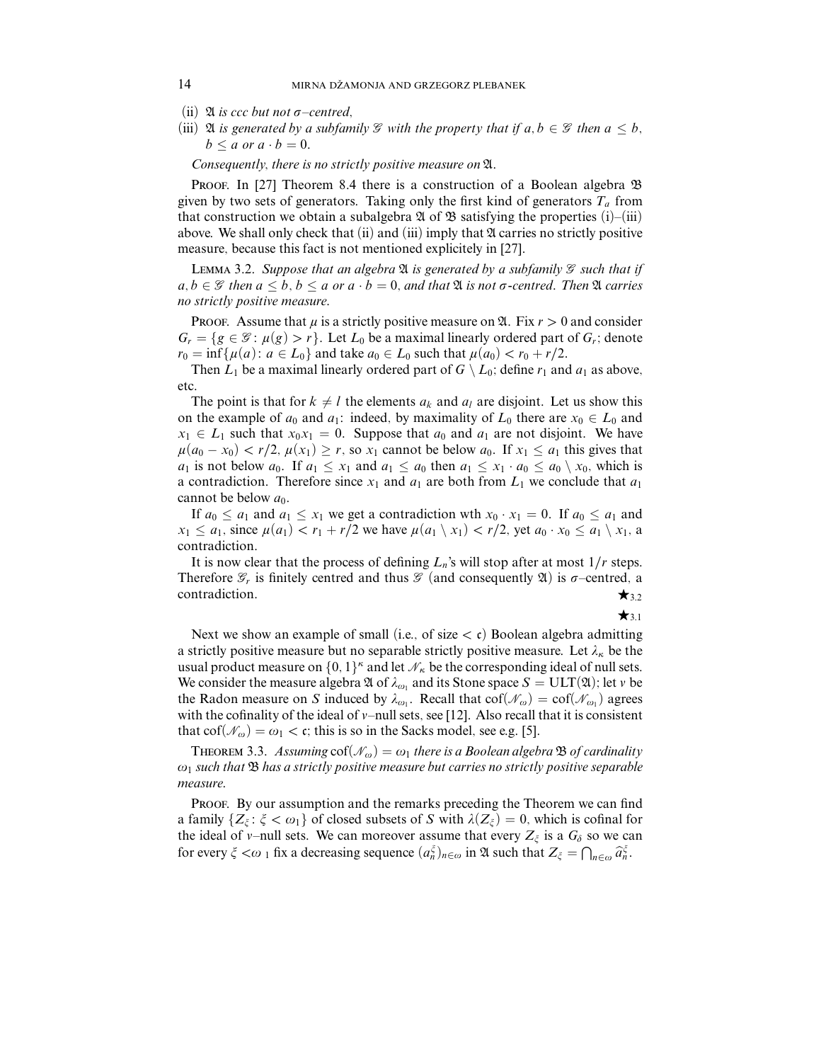- (ii)  $\mathfrak A$  *is ccc but not*  $\sigma$ *–centred*,
- (iii)  $\mathfrak A$  *is generated by a subfamily*  $\mathscr G$  *with the property that if*  $a, b \in \mathscr G$  *then*  $a \leq b$ *,*  $b \le a$  or  $a \cdot b = 0$ .

Consequently, there is no strictly positive measure on A.

PROOF. In [27] Theorem 8.4 there is a construction of a Boolean algebra  $\mathfrak B$ given by two sets of generators. Taking only the first kind of generators  $T_a$  from that construction we obtain a subalgebra  $\mathfrak A$  of  $\mathfrak B$  satisfying the properties (i)–(iii) above. We shall only check that (ii) and (iii) imply that  $\mathfrak A$  carries no strictly positive measure, because this fact is not mentioned explicitely in [27].

LEMMA 3.2. Suppose that an algebra  $\mathfrak A$  is generated by a subfamily  $\mathcal G$  such that if *a*, *b* ∈ *G* then *a*  $\leq$  *b*, *b*  $\leq$  *a* or *a* · *b* = 0, and that **2***i is* not *σ*-centred. Then **2***i carries* no strictly positive measure.

Proof. Assume that  $\mu$  is a strictly positive measure on  $\mathfrak{A}$ . Fix  $r > 0$  and consider  $G_r = \{g \in \mathcal{G} : \mu(g) > r\}$ . Let  $L_0$  be a maximal linearly ordered part of  $G_r$ ; denote  $r_0 = \inf \{ \mu(a) : a \in L_0 \}$  and take  $a_0 \in L_0$  such that  $\mu(a_0) < r_0 + r/2$ .

Then  $L_1$  be a maximal linearly ordered part of  $G \setminus L_0$ ; define  $r_1$  and  $a_1$  as above, etc.

The point is that for  $k \neq l$  the elements  $a_k$  and  $a_l$  are disjoint. Let us show this on the example of  $a_0$  and  $a_1$ : indeed, by maximality of  $L_0$  there are  $x_0 \in L_0$  and  $x_1 \in L_1$  such that  $x_0x_1 = 0$ . Suppose that  $a_0$  and  $a_1$  are not disjoint. We have  $\mu(a_0 - x_0) < r/2$ ,  $\mu(x_1) \ge r$ , so  $x_1$  cannot be below  $a_0$ . If  $x_1 \le a_1$  this gives that *a*<sub>1</sub> is not below *a*<sub>0</sub>. If  $a_1 \leq x_1$  and  $a_1 \leq a_0$  then  $a_1 \leq x_1 \cdot a_0 \leq a_0 \setminus x_0$ , which is a contradiction. Therefore since  $x_1$  and  $a_1$  are both from  $L_1$  we conclude that  $a_1$ cannot be below  $a_0$ .

If  $a_0 \le a_1$  and  $a_1 \le x_1$  we get a contradiction wth  $x_0 \cdot x_1 = 0$ . If  $a_0 \le a_1$  and  $x_1 \leq a_1$ , since  $\mu(a_1) < r_1 + r/2$  we have  $\mu(a_1 \setminus x_1) < r/2$ , yet  $a_0 \cdot x_0 \leq a_1 \setminus x_1$ , a contradiction.

It is now clear that the process of defining  $L_n$ 's will stop after at most  $1/r$  steps. Therefore  $\mathcal{G}_r$  is finitely centred and thus  $\mathcal{G}$  (and consequently  $\mathfrak{A}$ ) is  $\sigma$ –centred, a contradiction.  $\star$ <sub>3.2</sub>

 $\star$ <sub>31</sub>

Next we show an example of small (i.e., of size  $\langle$  c) Boolean algebra admitting a strictly positive measure but no separable strictly positive measure. Let  $\lambda_{\kappa}$  be the usual product measure on  $\{0, 1\}^k$  and let  $\mathcal{N}_k$  be the corresponding ideal of null sets. We consider the measure algebra  $\mathfrak A$  of  $\lambda_{\omega_1}$  and its Stone space  $S = \text{ULT}(\mathfrak A)$ ; let  $\psi$  be the Radon measure on *S* induced by  $\lambda_{\omega_1}$ . Recall that  $cof(\mathcal{N}_{\omega}) = cof(\mathcal{N}_{\omega_1})$  agrees with the cofinality of the ideal of *v*–null sets, see [12]. Also recall that it is consistent that  $\text{cof}(\mathcal{N}_\omega) = \omega_1 < \mathfrak{c}$ ; this is so in the Sacks model, see e.g. [5].

THEOREM 3.3. Assuming  $\text{cof}(\mathcal{N}_\omega) = \omega_1$  there is a Boolean algebra  $\mathfrak B$  of cardinality  $\omega_1$  such that  $\mathfrak B$  has a strictly positive measure but carries no strictly positive separable measure.

PROOF. By our assumption and the remarks preceding the Theorem we can find a family  $\{Z_{\xi} : \xi < \omega_1\}$  of closed subsets of *S* with  $\lambda(Z_{\xi}) = 0$ , which is cofinal for the ideal of *v*–null sets. We can moreover assume that every  $Z_{\xi}$  is a  $G_{\delta}$  so we can for every  $\zeta < \omega_1$  fix a decreasing sequence  $(a_n^{\xi})_{n \in \omega}$  in  $\mathfrak{A}$  such that  $Z_{\xi} = \bigcap_{n \in \omega} \widehat{a}_n^{\xi}$ .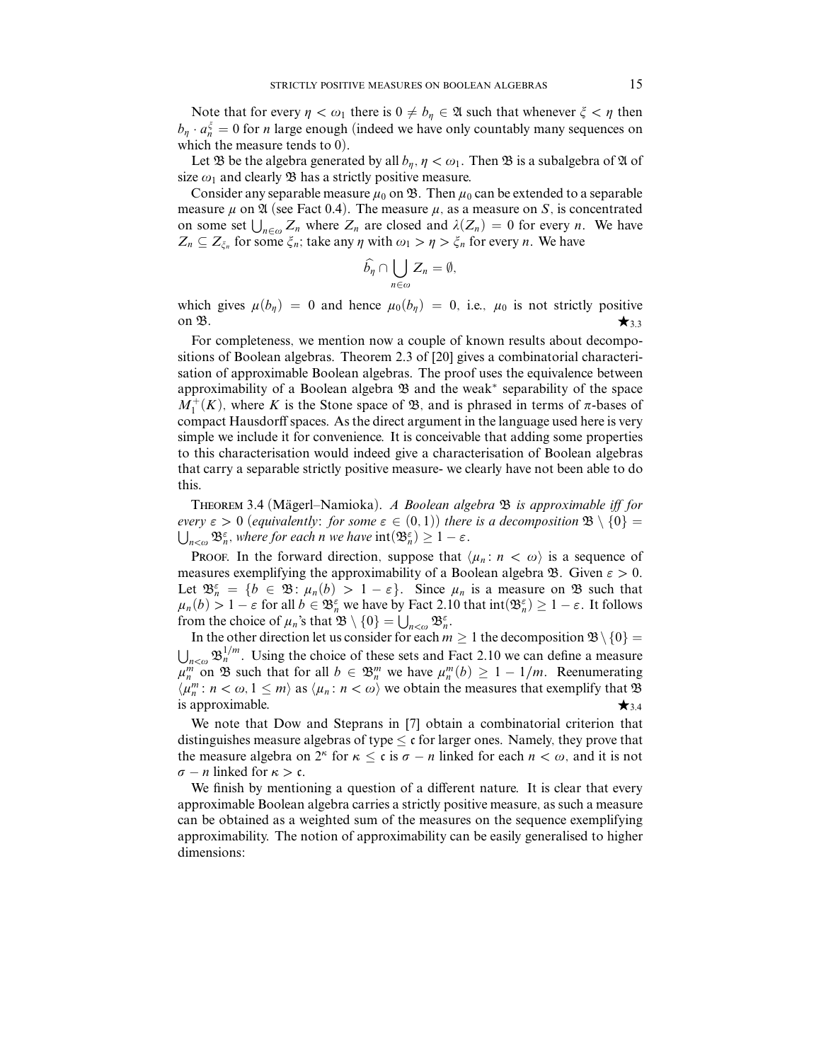Note that for every  $\eta < \omega_1$  there is  $0 \neq b_n \in \mathfrak{A}$  such that whenever  $\xi < \eta$  then  $b_{\eta} \cdot a_{n}^{\xi} = 0$  for *n* large enough (indeed we have only countably many sequences on which the measure tends to 0).

Let  $\mathfrak B$  be the algebra generated by all  $b_n$ ,  $\eta < \omega_1$ . Then  $\mathfrak B$  is a subalgebra of  $\mathfrak A$  of size  $\omega_1$  and clearly  $\mathfrak B$  has a strictly positive measure.

Consider any separable measure  $\mu_0$  on  $\mathfrak{B}$ . Then  $\mu_0$  can be extended to a separable measure  $\mu$  on  $\mathfrak A$  (see Fact 0.4). The measure  $\mu$ , as a measure on *S*, is concentrated on some set  $\bigcup_{n \in \omega} Z_n$  where  $Z_n$  are closed and  $\lambda(Z_n) = 0$  for every *n*. We have  $Z_n \subseteq Z_{\xi_n}$  for some  $\xi_n$ ; take any  $\eta$  with  $\omega_1 > \eta > \xi_n$  for every *n*. We have

$$
\widehat{b_{\eta}}\cap \bigcup_{n\in\omega}Z_n=\emptyset,
$$

which gives  $\mu(b_n) = 0$  and hence  $\mu_0(b_n) = 0$ , i.e.,  $\mu_0$  is not strictly positive on  $\mathfrak{B}$ .

For completeness, we mention now a couple of known results about decompositions of Boolean algebras. Theorem 2.3 of [20] gives a combinatorial characterisation of approximable Boolean algebras. The proof uses the equivalence between approximability of a Boolean algebra  $\mathfrak B$  and the weak<sup>\*</sup> separability of the space  $M_1^+(K)$ , where *K* is the Stone space of  $\mathfrak{B}$ , and is phrased in terms of  $\pi$ -bases of compact Hausdorff spaces. As the direct argument in the language used here is very simple we include it for convenience. It is conceivable that adding some properties to this characterisation would indeed give a characterisation of Boolean algebras that carry a separable strictly positive measure- we clearly have not been able to do this.

THEOREM 3.4 (Mägerl–Namioka). A Boolean algebra  $\mathfrak B$  is approximable iff for *every*  $\varepsilon > 0$  (equivalently: for some  $\varepsilon \in (0,1)$ ) there is a decomposition  $\mathfrak{B} \setminus \{0\} =$  $\mathfrak{B}_{n}^{\varepsilon}$ , where for each *n* we have  $\text{int}(\mathfrak{B}_{n}^{\varepsilon}) \geq 1 - \varepsilon$ .

**PROOF.** In the forward direction, suppose that  $\langle \mu_n : n \langle \omega \rangle$  is a sequence of measures exemplifying the approximability of a Boolean algebra  $\mathcal{B}$ . Given  $\varepsilon > 0$ . Let  $\mathfrak{B}_{n}^{\varepsilon} = \{b \in \mathfrak{B} : \mu_{n}(b) > 1 - \varepsilon\}$ . Since  $\mu_{n}$  is a measure on  $\mathfrak{B}$  such that  $\mu_n(b) > 1 - \varepsilon$  for all  $b \in \mathfrak{B}_n^{\varepsilon}$  we have by Fact 2.10 that  $\text{int}(\mathfrak{B}_n^{\varepsilon}) \ge 1 - \varepsilon$ . It follows from the choice of  $\mu_n$ 's that  $\mathfrak{B} \setminus \{0\} = \bigcup_{n < \omega} \mathfrak{B}_n^{\varepsilon}$ .

In the other direction let us consider for each  $m \geq 1$  the decomposition  $\mathfrak{B} \setminus \{0\} =$  $n <sub>n<\omega</sub>$   $\mathfrak{B}_n^{1/m}$ . Using the choice of these sets and Fact 2.10 we can define a measure  $\mu_n^m$  on B such that for all  $b \in \mathfrak{B}_n^m$  we have  $\mu_n^m(b) \geq 1 - 1/m$ . Reenumerating  $\langle \mu_n^m : n < \omega, 1 \le m \rangle$  as  $\langle \mu_n : n < \omega \rangle$  we obtain the measures that exemplify that  $\mathfrak{B}$ is approximable.  $\star$ <sub>3.4</sub>

We note that Dow and Steprans in [7] obtain a combinatorial criterion that distinguishes measure algebras of type  $\lt c$  for larger ones. Namely, they prove that the measure algebra on  $2^k$  for  $\kappa \leq \mathfrak{c}$  is  $\sigma - n$  linked for each  $n < \omega$ , and it is not  $\sigma - n$  linked for  $\kappa > c$ .

We finish by mentioning a question of a different nature. It is clear that every approximable Boolean algebra carries a strictly positive measure, as such a measure can be obtained as a weighted sum of the measures on the sequence exemplifying approximability. The notion of approximability can be easily generalised to higher dimensions: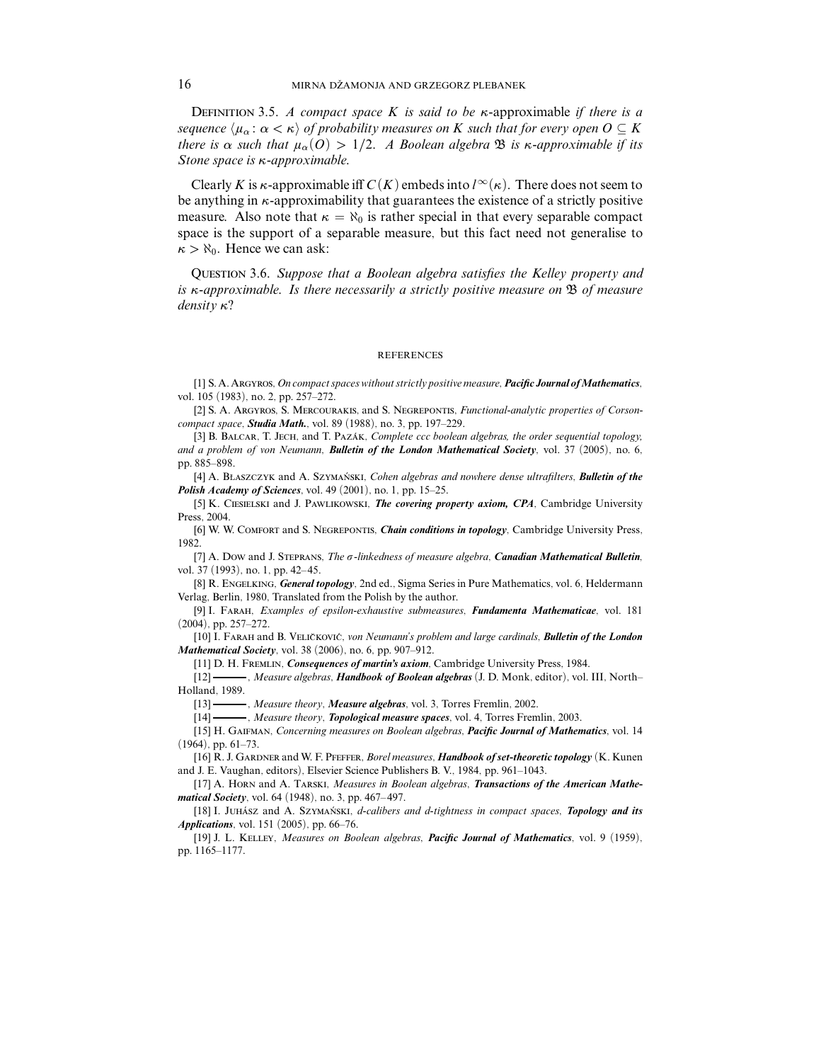Definition 3.5. A compact space *K* is said to be *κ*-approximable if there is a sequence  $\langle \mu_\alpha : \alpha < \kappa \rangle$  of probability measures on *K* such that for every open  $O \subseteq K$ there is  $\alpha$  such that  $\mu_\alpha$ (O) > 1/2. A Boolean algebra  $\mathfrak B$  is *κ*-approximable if its Stone space is *κ*-approximable.

Clearly *K* is *κ*-approximable iff  $C(K)$  embeds into  $l^{\infty}(\kappa)$ . There does not seem to be anything in *κ*-approximability that guarantees the existence of a strictly positive measure. Also note that  $\kappa = \aleph_0$  is rather special in that every separable compact space is the support of a separable measure, but this fact need not generalise to  $\kappa > \aleph_0$ . Hence we can ask:

Question 3.6. Suppose that a Boolean algebra satisfies the Kelley property and is *κ*-approximable. Is there necessarily a strictly positive measure on B of measure density *κ*?

## **REFERENCES**

[1] S. A. Argyros, *On compact spaces without strictly positive measure*, *Pacific Journal ofMathematics*, vol. 105 (1983), no. 2, pp. 257–272.

[2] S. A. Argyros, S. Mercourakis, and S. Negrepontis, *Functional-analytic properties of Corsoncompact space*, *Studia Math.*, vol. 89 (1988), no. 3, pp. 197–229.

[3] B. BALCAR, T. JECH, and T. PAZÁK, *Complete ccc boolean algebras, the order sequential topology, and a problem of von Neumann*, *Bulletin of the London Mathematical Society*, vol. 37 (2005), no. 6, pp. 885–898.

[4] A. BLASZCZYK and A. SZYMAŃSKI, *Cohen algebras and nowhere dense ultrafilters*, *Bulletin of the Polish Academy of Sciences*, vol. 49 (2001), no. 1, pp. 15–25.

[5] K. Ciesielski and J. Pawlikowski, *The covering property axiom, CPA*, Cambridge University Press, 2004.

[6] W. W. Comfort and S. Negrepontis, *Chain conditions in topology*, Cambridge University Press, 1982.

[7] A. Dow and J. Steprans, *The !-linkedness of measure algebra*, *Canadian Mathematical Bulletin*, vol. 37 (1993), no. 1, pp. 42–45.

[8] R. Engelking, *General topology*, 2nd ed., Sigma Series in Pure Mathematics, vol. 6, Heldermann Verlag, Berlin, 1980, Translated from the Polish by the author.

[9] I. Farah, *Examples of epsilon-exhaustive submeasures*, *Fundamenta Mathematicae*, vol. 181 (2004), pp. 257–272.

[10] I. FARAH and B. VELIČKOVIĆ, von Neumann's problem and large cardinals, **Bulletin of the London** *Mathematical Society*, vol. 38 (2006), no. 6, pp. 907–912.

[11] D. H. Fremlin, *Consequences of martin's axiom*, Cambridge University Press, 1984.

[12] , *Measure algebras*, *Handbook of Boolean algebras* (J. D. Monk, editor), vol. III, North– Holland, 1989.

[13] , *Measure theory*, *Measure algebras*, vol. 3, Torres Fremlin, 2002.

[14] , *Measure theory*, *Topological measure spaces*, vol. 4, Torres Fremlin, 2003.

[15] H. Gaifman, *Concerning measures on Boolean algebras*, *Pacific Journal of Mathematics*, vol. 14 (1964), pp. 61–73.

[16] R. J. GARDNER and W. F. PFEFFER, *Borel measures*, *Handbook of set-theoretic topology* (K. Kunen and J. E. Vaughan, editors), Elsevier Science Publishers B. V., 1984, pp. 961–1043.

[17] A. Horn and A. Tarski, *Measures in Boolean algebras*, *Transactions of the American Mathematical Society*, vol. 64 (1948), no. 3, pp. 467– 497.

[18] I. JUHÁSZ and A. SZYMAŃSKI, *d-calibers and d-tightness in compact spaces*, *Topology and its Applications*, vol. 151 (2005), pp. 66–76.

[19] J. L. Kelley, *Measures on Boolean algebras*, *Pacific Journal of Mathematics*, vol. 9 (1959), pp. 1165–1177.